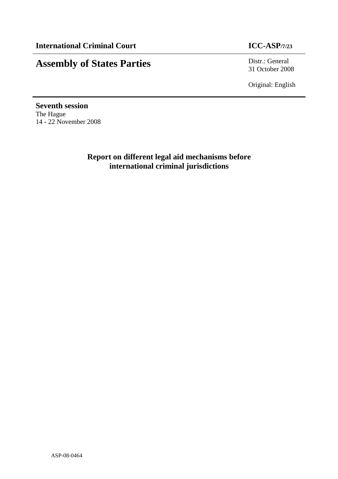# **Assembly of States Parties** Distr.: General

31 October 2008

Original: English

**Seventh session**  The Hague 14 - 22 November 2008

> **Report on different legal aid mechanisms before international criminal jurisdictions**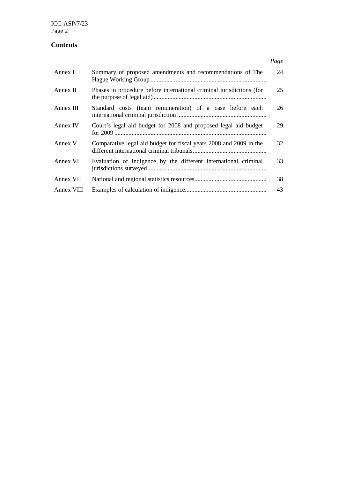ICC-ASP/7/23 Page 2

## **Contents**

| Annex I    | Summary of proposed amendments and recommendations of The            | 24 |
|------------|----------------------------------------------------------------------|----|
| Annex II   | Phases in procedure before international criminal jurisdictions (for | 25 |
| Annex III  | Standard costs (team remuneration) of a case before each             | 26 |
| Annex IV   | Court's legal aid budget for 2008 and proposed legal aid budget      | 29 |
| Annex V    | Comparative legal aid budget for fiscal years 2008 and 2009 in the   | 32 |
| Annex VI   | Evaluation of indigence by the different international criminal      | 33 |
| Annex VII  |                                                                      | 38 |
| Annex VIII |                                                                      | 43 |

*Page*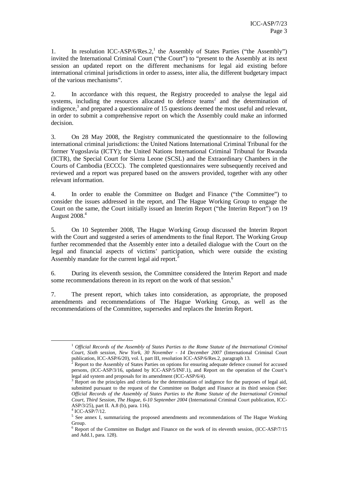1. In resolution ICC-ASP/6/Res.2,<sup>1</sup> the Assembly of States Parties ("the Assembly") invited the International Criminal Court ("the Court") to "present to the Assembly at its next session an updated report on the different mechanisms for legal aid existing before international criminal jurisdictions in order to assess, inter alia, the different budgetary impact of the various mechanisms".

2. In accordance with this request, the Registry proceeded to analyse the legal aid systems, including the resources allocated to defence teams<sup>2</sup> and the determination of indigence, $3$  and prepared a questionnaire of 15 questions deemed the most useful and relevant, in order to submit a comprehensive report on which the Assembly could make an informed decision.

3. On 28 May 2008, the Registry communicated the questionnaire to the following international criminal jurisdictions: the United Nations International Criminal Tribunal for the former Yugoslavia (ICTY); the United Nations International Criminal Tribunal for Rwanda (ICTR), the Special Court for Sierra Leone (SCSL) and the Extraordinary Chambers in the Courts of Cambodia (ECCC). The completed questionnaires were subsequently received and reviewed and a report was prepared based on the answers provided, together with any other relevant information.

4. In order to enable the Committee on Budget and Finance ("the Committee") to consider the issues addressed in the report, and The Hague Working Group to engage the Court on the same, the Court initially issued an Interim Report ("the Interim Report") on 19 August 2008.<sup>4</sup>

5. On 10 September 2008, The Hague Working Group discussed the Interim Report with the Court and suggested a series of amendments to the final Report. The Working Group further recommended that the Assembly enter into a detailed dialogue with the Court on the legal and financial aspects of victims' participation, which were outside the existing Assembly mandate for the current legal aid report.<sup>5</sup>

6. During its eleventh session, the Committee considered the Interim Report and made some recommendations thereon in its report on the work of that session.<sup>6</sup>

7. The present report, which takes into consideration, as appropriate, the proposed amendments and recommendations of The Hague Working Group, as well as the recommendations of the Committee, supersedes and replaces the Interim Report.

<sup>1</sup> *Official Records of the Assembly of States Parties to the Rome Statute of the International Criminal Court, Sixth session, New York, 30 November - 14 December 2007* (International Criminal Court publication, ICC-ASP/6/20), vol. I, part III, resolution ICC-ASP/6/Res.2, paragraph 13.<br><sup>2</sup> Benert to the Assembly of States Perties on ortions for ensuring edequate defense con-

Report to the Assembly of States Parties on options for ensuring adequate defence counsel for accused persons, (ICC-ASP/3/16, updated by ICC-ASP/5/INF.1), and Report on the operation of the Court's legal aid system and proposals for its amendment (ICC-ASP/6/4)*.*

<sup>3</sup> Report on the principles and criteria for the determination of indigence for the purposes of legal aid, submitted pursuant to the request of the Committee on Budget and Finance at its third session (See: *Official Records of the Assembly of States Parties to the Rome Statute of the International Criminal Court, Third Session, The Hague, 6-10 September 2004* (International Criminal Court publication, ICC-ASP/3/25), part II. A.8 (b), para. 116).

<sup>4</sup> ICC-ASP/7/12.

<sup>&</sup>lt;sup>5</sup> See annex I, summarizing the proposed amendments and recommendations of The Hague Working Group.

<sup>&</sup>lt;sup>6</sup> Report of the Committee on Budget and Finance on the work of its eleventh session, (ICC-ASP/7/15 and Add.1, para. 128).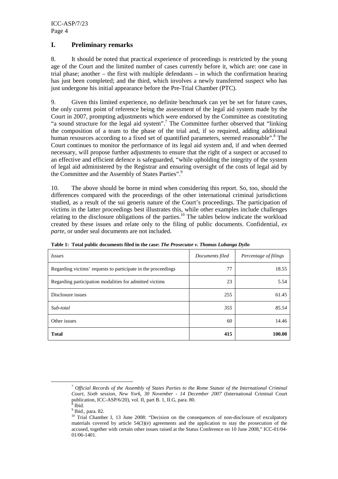#### **I. Preliminary remarks**

8. It should be noted that practical experience of proceedings is restricted by the young age of the Court and the limited number of cases currently before it, which are: one case in trial phase; another – the first with multiple defendants – in which the confirmation hearing has just been completed; and the third, which involves a newly transferred suspect who has just undergone his initial appearance before the Pre-Trial Chamber (PTC).

9. Given this limited experience, no definite benchmark can yet be set for future cases, the only current point of reference being the assessment of the legal aid system made by the Court in 2007, prompting adjustments which were endorsed by the Committee as constituting "a sound structure for the legal aid system".<sup>7</sup> The Committee further observed that "linking the composition of a team to the phase of the trial and, if so required, adding additional human resources according to a fixed set of quantified parameters, seemed reasonable".<sup>8</sup> The Court continues to monitor the performance of its legal aid system and, if and when deemed necessary, will propose further adjustments to ensure that the right of a suspect or accused to an effective and efficient defence is safeguarded, "while upholding the integrity of the system of legal aid administered by the Registrar and ensuring oversight of the costs of legal aid by the Committee and the Assembly of States Parties".<sup>9</sup>

10. The above should be borne in mind when considering this report. So, too, should the differences compared with the proceedings of the other international criminal jurisdictions studied, as a result of the sui generis nature of the Court's proceedings. The participation of victims in the latter proceedings best illustrates this, while other examples include challenges relating to the disclosure obligations of the parties.<sup>10</sup> The tables below indicate the workload created by these issues and relate only to the filing of public documents. Confidential, *ex parte*, or under seal documents are not included.

| <i>Issues</i>                                                 | Documents filed | Percentage of filings |
|---------------------------------------------------------------|-----------------|-----------------------|
| Regarding victims' requests to participate in the proceedings | 77              | 18.55                 |
| Regarding participation modalities for admitted victims       | 23              | 5.54                  |
| Disclosure issues                                             | 255             | 61.45                 |
| Sub-total                                                     | 355             | 85.54                 |
| Other issues                                                  | 60              | 14.46                 |
| <b>Total</b>                                                  | 415             | 100.00                |

**Table 1: Total public documents filed in the case:** *The Prosecutor v. Thomas Lubanga Dyilo*

<sup>7</sup> *Official Records of the Assembly of States Parties to the Rome Statute of the International Criminal Court, Sixth session, New York, 30 November - 14 December 2007* (International Criminal Court publication, ICC-ASP/6/20), vol. II, part B. 1, II.G, para. 80.<br><sup>8</sup> Ibid

Ibid.

<sup>&</sup>lt;sup>9</sup> Ibid., para. 82.

<sup>10</sup> Trial Chamber I, 13 June 2008: "Decision on the consequences of non-disclosure of exculpatory materials covered by article 54(3)(e) agreements and the application to stay the prosecution of the accused, together with certain other issues raised at the Status Conference on 10 June 2008," ICC-01/04- 01/06-1401.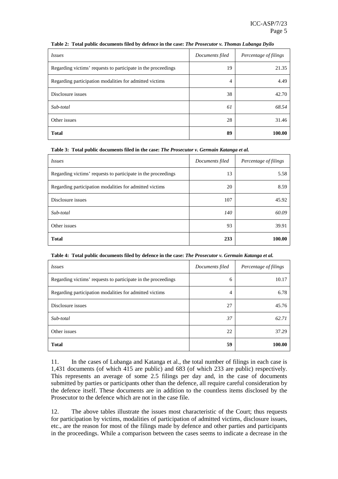| <i>Issues</i>                                                 | Documents filed | Percentage of filings |
|---------------------------------------------------------------|-----------------|-----------------------|
| Regarding victims' requests to participate in the proceedings | 19              | 21.35                 |
| Regarding participation modalities for admitted victims       | 4               | 4.49                  |
| Disclosure issues                                             | 38              | 42.70                 |
| Sub-total                                                     | 61              | 68.54                 |
| Other issues                                                  | 28              | 31.46                 |
| <b>Total</b>                                                  | 89              | 100.00                |

#### **Table 2: Total public documents filed by defence in the case:** *The Prosecutor v. Thomas Lubanga Dyilo*

**Table 3: Total public documents filed in the case:** *The Prosecutor v. Germain Katanga et al.*

| <i>Issues</i>                                                 | Documents filed | Percentage of filings |
|---------------------------------------------------------------|-----------------|-----------------------|
| Regarding victims' requests to participate in the proceedings | 13              | 5.58                  |
| Regarding participation modalities for admitted victims       | 20              | 8.59                  |
| Disclosure issues                                             | 107             | 45.92                 |
| Sub-total                                                     | 140             | 60.09                 |
| Other issues                                                  | 93              | 39.91                 |
| <b>Total</b>                                                  | 233             | 100.00                |

| Table 4: Total public documents filed by defence in the case: The Prosecutor v. Germain Katanga et al. |
|--------------------------------------------------------------------------------------------------------|
|--------------------------------------------------------------------------------------------------------|

| <i>Issues</i>                                                 | Documents filed | Percentage of filings |
|---------------------------------------------------------------|-----------------|-----------------------|
| Regarding victims' requests to participate in the proceedings | 6               | 10.17                 |
| Regarding participation modalities for admitted victims       | 4               | 6.78                  |
| Disclosure issues                                             | 27              | 45.76                 |
| Sub-total                                                     | 37              | 62.71                 |
| Other issues                                                  | 22              | 37.29                 |
| <b>Total</b>                                                  | 59              | 100.00                |

11. In the cases of Lubanga and Katanga et al., the total number of filings in each case is 1,431 documents (of which 415 are public) and 683 (of which 233 are public) respectively. This represents an average of some 2.5 filings per day and, in the case of documents submitted by parties or participants other than the defence, all require careful consideration by the defence itself. These documents are in addition to the countless items disclosed by the Prosecutor to the defence which are not in the case file.

12. The above tables illustrate the issues most characteristic of the Court; thus requests for participation by victims, modalities of participation of admitted victims, disclosure issues, etc., are the reason for most of the filings made by defence and other parties and participants in the proceedings. While a comparison between the cases seems to indicate a decrease in the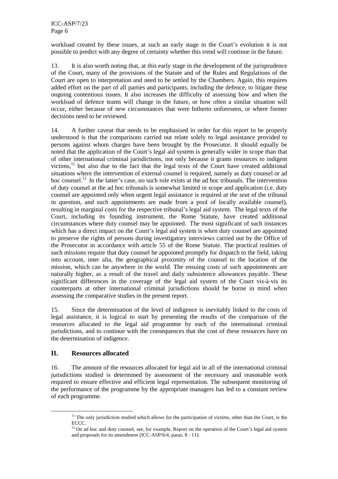workload created by these issues, at such an early stage in the Court's evolution it is not possible to predict with any degree of certainty whether this trend will continue in the future.

13. It is also worth noting that, at this early stage in the development of the jurisprudence of the Court, many of the provisions of the Statute and of the Rules and Regulations of the Court are open to interpretation and need to be settled by the Chambers. Again, this requires added effort on the part of all parties and participants, including the defence, to litigate these ongoing contentious issues. It also increases the difficulty of assessing how and when the workload of defence teams will change in the future, or how often a similar situation will occur, either because of new circumstances that were hitherto unforeseen, or where former decisions need to be reviewed.

14. A further caveat that needs to be emphasised in order for this report to be properly understood is that the comparisons carried out relate solely to legal assistance provided to persons against whom charges have been brought by the Prosecutor. It should equally be noted that the application of the Court's legal aid system is generally wider in scope than that of other international criminal jurisdictions, not only because it grants resources to indigent victims, $^{11}$  but also due to the fact that the legal texts of the Court have created additional situations where the intervention of external counsel is required, namely as duty counsel or ad hoc counsel.<sup>12</sup> In the latter's case, no such role exists at the ad hoc tribunals. The intervention of duty counsel at the ad hoc tribunals is somewhat limited in scope and application (i.e. duty counsel are appointed only when urgent legal assistance is required *at the seat* of the tribunal in question, and such appointments are made from a pool of locally available counsel), resulting in marginal costs for the respective tribunal's legal aid system. The legal texts of the Court, including its founding instrument, the Rome Statute, have created additional circumstances where duty counsel may be appointed. The most significant of such instances which has a direct impact on the Court's legal aid system is when duty counsel are appointed to preserve the rights of persons during investigatory interviews carried out by the Office of the Prosecutor in accordance with article 55 of the Rome Statute. The practical realities of such missions require that duty counsel be appointed promptly for dispatch to the field, taking into account, inter alia*,* the geographical proximity of the counsel to the location of the mission, which can be anywhere in the world. The ensuing costs of such appointments are naturally higher, as a result of the travel and daily subsistence allowances payable. These significant differences in the coverage of the legal aid system of the Court vis-à-vis its counterparts at other international criminal jurisdictions should be borne in mind when assessing the comparative studies in the present report.

15. Since the determination of the level of indigence is inevitably linked to the costs of legal assistance, it is logical to start by presenting the results of the comparison of the resources allocated to the legal aid programme by each of the international criminal jurisdictions, and to continue with the consequences that the cost of these resources have on the determination of indigence.

#### **II. Resources allocated**

 $\overline{a}$ 

16. The amount of the resources allocated for legal aid in all of the international criminal jurisdictions studied is determined by assessment of the necessary and reasonable work required to ensure effective and efficient legal representation. The subsequent monitoring of the performance of the programme by the appropriate managers has led to a constant review of each programme.

 $11$  The only jurisdiction studied which allows for the participation of victims, other than the Court, is the ECCC.

 $12$  On ad hoc and duty counsel, see, for example, Report on the operation of the Court's legal aid system and proposals for its amendment (ICC-ASP/6/4, paras. 8 - 11).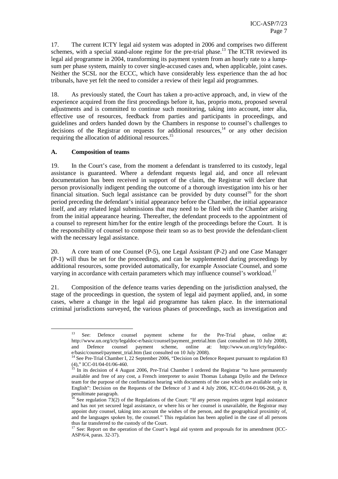17. The current ICTY legal aid system was adopted in 2006 and comprises two different schemes, with a special stand-alone regime for the pre-trial phase.<sup>13</sup> The ICTR reviewed its legal aid programme in 2004, transforming its payment system from an hourly rate to a lumpsum per phase system, mainly to cover single-accused cases and, when applicable, joint cases. Neither the SCSL nor the ECCC, which have considerably less experience than the ad hoc tribunals, have yet felt the need to consider a review of their legal aid programmes.

18. As previously stated, the Court has taken a pro-active approach, and, in view of the experience acquired from the first proceedings before it, has, proprio motu*,* proposed several adjustments and is committed to continue such monitoring, taking into account, inter alia, effective use of resources, feedback from parties and participants in proceedings, and guidelines and orders handed down by the Chambers in response to counsel's challenges to decisions of the Registrar on requests for additional resources, $14$  or any other decision requiring the allocation of additional resources.<sup>15</sup>

#### **A. Composition of teams**

 $\overline{a}$ 

19. In the Court's case, from the moment a defendant is transferred to its custody, legal assistance is guaranteed. Where a defendant requests legal aid, and once all relevant documentation has been received in support of the claim, the Registrar will declare that person provisionally indigent pending the outcome of a thorough investigation into his or her financial situation. Such legal assistance can be provided by duty counsel<sup>16</sup> for the short period preceding the defendant's initial appearance before the Chamber, the initial appearance itself, and any related legal submissions that may need to be filed with the Chamber arising from the initial appearance hearing. Thereafter, the defendant proceeds to the appointment of a counsel to represent him/her for the entire length of the proceedings before the Court. It is the responsibility of counsel to compose their team so as to best provide the defendant-client with the necessary legal assistance.

20. A core team of one Counsel (P-5), one Legal Assistant (P-2) and one Case Manager (P-1) will thus be set for the proceedings, and can be supplemented during proceedings by additional resources, some provided automatically, for example Associate Counsel, and some varying in accordance with certain parameters which may influence counsel's workload.<sup>17</sup>

21. Composition of the defence teams varies depending on the jurisdiction analysed, the stage of the proceedings in question, the system of legal aid payment applied, and, in some cases, where a change in the legal aid programme has taken place. In the international criminal jurisdictions surveyed, the various phases of proceedings, such as investigation and

<sup>13</sup> See: Defence counsel payment scheme for the Pre-Trial phase, online at: http://www.un.org/icty/legaldoc-e/basic/counsel/payment\_pretrial.htm (last consulted on 10 July 2008), and Defence counsel payment scheme, online at: http://www.un.org/icty/legaldoce/basic/counsel/payment\_trial.htm (last consulted on 10 July 2008).

<sup>&</sup>lt;sup>14</sup> See Pre-Trial Chamber I, 22 September 2006, "Decision on Defence Request pursuant to regulation 83 (4)," ICC-01/04-01/06-460.

<sup>&</sup>lt;sup>15</sup> In its decision of 4 August 2006, Pre-Trial Chamber I ordered the Registrar "to have permanently available and free of any cost, a French interpreter to assist Thomas Lubanga Dyilo and the Defence team for the purpose of the confirmation hearing with documents of the case which are available only in English": Decision on the Requests of the Defence of 3 and 4 July 2006, ICC-01/04-01/06-268, p. 8, penultimate paragraph.

<sup>&</sup>lt;sup>16</sup> See regulation 73(2) of the Regulations of the Court: "If any person requires urgent legal assistance and has not yet secured legal assistance, or where his or her counsel is unavailable, the Registrar may appoint duty counsel, taking into account the wishes of the person, and the geographical proximity of, and the languages spoken by, the counsel." This regulation has been applied in the case of all persons thus far transferred to the custody of the Court.

<sup>&</sup>lt;sup>17</sup> See: Report on the operation of the Court's legal aid system and proposals for its amendment (ICC-ASP/6/4, paras. 32-37).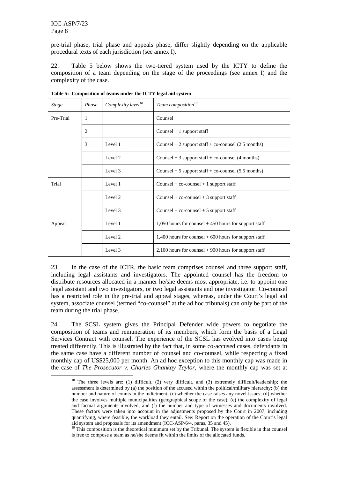$\overline{a}$ 

pre-trial phase, trial phase and appeals phase, differ slightly depending on the applicable procedural texts of each jurisdiction (see annex I).

22. Table 5 below shows the two-tiered system used by the ICTY to define the composition of a team depending on the stage of the proceedings (see annex I) and the complexity of the case.

| <b>Stage</b> | Phase | Complexity level <sup>18</sup> | Team composition <sup>19</sup>                           |
|--------------|-------|--------------------------------|----------------------------------------------------------|
| Pre-Trial    | 1     |                                | Counsel                                                  |
|              | 2     |                                | Counsel $+1$ support staff                               |
|              | 3     | Level 1                        | Counsel $+ 2$ support staff $+$ co-counsel (2.5 months)  |
|              |       | Level 2                        | Counsel $+3$ support staff $+$ co-counsel (4 months)     |
|              |       | Level 3                        | Counsel $+5$ support staff $+$ co-counsel (5.5 months)   |
| Trial        |       | Level 1                        | Counsel + $co$ -counsel + 1 support staff                |
|              |       | Level 2                        | Counsel + $co$ -counsel + 3 support staff                |
|              |       | Level 3                        | Counsel + $co$ -counsel + 5 support staff                |
| Appeal       |       | Level 1                        | $1,050$ hours for counsel $+450$ hours for support staff |
|              |       | Level 2                        | 1,400 hours for counsel $+600$ hours for support staff   |
|              |       | Level 3                        | $2,100$ hours for counsel $+900$ hours for support staff |

**Table 5: Composition of teams under the ICTY legal aid system** 

23. In the case of the ICTR, the basic team comprises counsel and three support staff, including legal assistants and investigators. The appointed counsel has the freedom to distribute resources allocated in a manner he/she deems most appropriate, i.e. to appoint one legal assistant and two investigators, or two legal assistants and one investigator. Co-counsel has a restricted role in the pre-trial and appeal stages, whereas, under the Court's legal aid system, associate counsel (termed "co-counsel" at the ad hoc tribunals) can only be part of the team during the trial phase.

24. The SCSL system gives the Principal Defender wide powers to negotiate the composition of teams and remuneration of its members, which form the basis of a Legal Services Contract with counsel. The experience of the SCSL has evolved into cases being treated differently. This is illustrated by the fact that, in some co-accused cases, defendants in the same case have a different number of counsel and co-counsel, while respecting a fixed monthly cap of US\$25,000 per month. An ad hoc exception to this monthly cap was made in the case of *The Prosecutor v. Charles Ghankay Taylor*, where the monthly cap was set at

<sup>18</sup> The three levels are: (1) difficult, (2) very difficult, and (3) extremely difficult/leadership; the assessment is determined by (a) the position of the accused within the political/military hierarchy; (b) the number and nature of counts in the indictment; (c) whether the case raises any novel issues; (d) whether the case involves multiple municipalities (geographical scope of the case); (e) the complexity of legal and factual arguments involved; and (f) the number and type of witnesses and documents involved. These factors were taken into account in the adjustments proposed by the Court in 2007, including quantifying, where feasible, the workload they entail. See: Report on the operation of the Court's legal aid system and proposals for its amendment (ICC-ASP/6/4, paras. 35 and 45).

<sup>&</sup>lt;sup>19</sup> This composition is the theoretical minimum set by the Tribunal. The system is flexible in that counsel is free to compose a team as he/she deems fit within the limits of the allocated funds.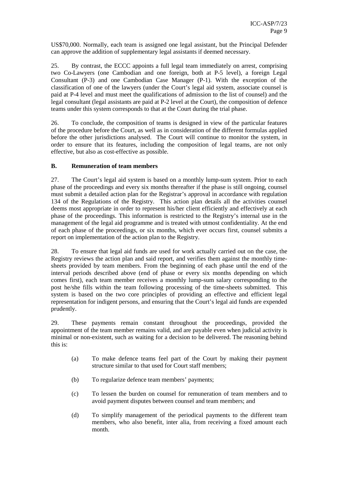US\$70,000. Normally, each team is assigned one legal assistant, but the Principal Defender can approve the addition of supplementary legal assistants if deemed necessary.

25. By contrast, the ECCC appoints a full legal team immediately on arrest, comprising two Co-Lawyers (one Cambodian and one foreign, both at P-5 level), a foreign Legal Consultant (P-3) and one Cambodian Case Manager (P-1). With the exception of the classification of one of the lawyers (under the Court's legal aid system, associate counsel is paid at P-4 level and must meet the qualifications of admission to the list of counsel) and the legal consultant (legal assistants are paid at P-2 level at the Court), the composition of defence teams under this system corresponds to that at the Court during the trial phase.

26. To conclude, the composition of teams is designed in view of the particular features of the procedure before the Court, as well as in consideration of the different formulas applied before the other jurisdictions analysed. The Court will continue to monitor the system, in order to ensure that its features, including the composition of legal teams, are not only effective, but also as cost-effective as possible.

#### **B. Remuneration of team members**

27. The Court's legal aid system is based on a monthly lump-sum system. Prior to each phase of the proceedings and every six months thereafter if the phase is still ongoing, counsel must submit a detailed action plan for the Registrar's approval in accordance with regulation 134 of the Regulations of the Registry. This action plan details all the activities counsel deems most appropriate in order to represent his/her client efficiently and effectively at each phase of the proceedings. This information is restricted to the Registry's internal use in the management of the legal aid programme and is treated with utmost confidentiality. At the end of each phase of the proceedings, or six months, which ever occurs first, counsel submits a report on implementation of the action plan to the Registry.

28. To ensure that legal aid funds are used for work actually carried out on the case, the Registry reviews the action plan and said report, and verifies them against the monthly timesheets provided by team members. From the beginning of each phase until the end of the interval periods described above (end of phase or every six months depending on which comes first), each team member receives a monthly lump-sum salary corresponding to the post he/she fills within the team following processing of the time-sheets submitted. This system is based on the two core principles of providing an effective and efficient legal representation for indigent persons, and ensuring that the Court's legal aid funds are expended prudently.

29. These payments remain constant throughout the proceedings, provided the appointment of the team member remains valid, and are payable even when judicial activity is minimal or non-existent, such as waiting for a decision to be delivered. The reasoning behind this is:

- (a) To make defence teams feel part of the Court by making their payment structure similar to that used for Court staff members;
- (b) To regularize defence team members' payments;
- (c) To lessen the burden on counsel for remuneration of team members and to avoid payment disputes between counsel and team members; and
- (d) To simplify management of the periodical payments to the different team members, who also benefit, inter alia, from receiving a fixed amount each month.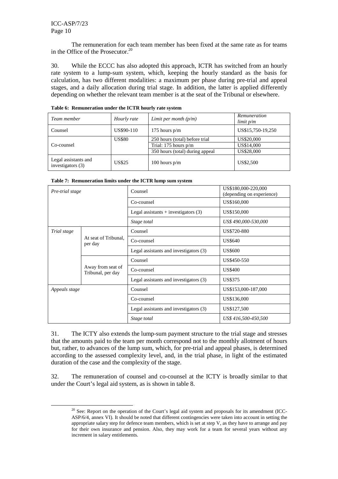$\overline{a}$ 

The remuneration for each team member has been fixed at the same rate as for teams in the Office of the Prosecutor.<sup>20</sup>

30. While the ECCC has also adopted this approach, ICTR has switched from an hourly rate system to a lump-sum system, which, keeping the hourly standard as the basis for calculation, has two different modalities: a maximum per phase during pre-trial and appeal stages, and a daily allocation during trial stage. In addition, the latter is applied differently depending on whether the relevant team member is at the seat of the Tribunal or elsewhere.

| Team member                                 | Hourly rate   | Limit per month $(p/m)$         | <b>Remuneration</b><br>limit p/m |
|---------------------------------------------|---------------|---------------------------------|----------------------------------|
| Counsel                                     | US\$90-110    | 175 hours $p/m$                 | US\$15,750-19,250                |
|                                             | <b>US\$80</b> | 250 hours (total) before trial  | US\$20,000                       |
| Co-counsel                                  |               | Trial: $175$ hours $p/m$        | US\$14,000                       |
|                                             |               | 350 hours (total) during appeal | US\$28,000                       |
| Legal assistants and<br>investigators $(3)$ | <b>US\$25</b> | 100 hours $p/m$                 | US\$2,500                        |

**Table 6: Remuneration under the ICTR hourly rate system** 

| Table 7: Remuneration limits under the ICTR lump sum system |  |  |  |  |  |
|-------------------------------------------------------------|--|--|--|--|--|
|-------------------------------------------------------------|--|--|--|--|--|

| Pre-trial stage |                                        | Counsel                                | US\$180,000-220,000<br>(depending on experience) |
|-----------------|----------------------------------------|----------------------------------------|--------------------------------------------------|
|                 |                                        | Co-counsel                             | US\$160,000                                      |
|                 |                                        | Legal assistants $+$ investigators (3) | US\$150,000                                      |
|                 |                                        | Stage total                            | US\$490,000-530,000                              |
| Trial stage     |                                        | Counsel                                | US\$720-880                                      |
|                 | At seat of Tribunal,<br>per day        | Co-counsel                             | US\$640                                          |
|                 |                                        | Legal assistants and investigators (3) | <b>US\$600</b>                                   |
|                 |                                        | Counsel                                | US\$450-550                                      |
|                 | Away from seat of<br>Tribunal, per day | Co-counsel                             | <b>US\$400</b>                                   |
|                 |                                        | Legal assistants and investigators (3) | US\$375                                          |
| Appeals stage   |                                        | Counsel                                | US\$153,000-187,000                              |
|                 |                                        | Co-counsel                             | US\$136,000                                      |
|                 |                                        | Legal assistants and investigators (3) | US\$127,500                                      |
|                 |                                        | Stage total                            | US\$416,500-450,500                              |

31. The ICTY also extends the lump-sum payment structure to the trial stage and stresses that the amounts paid to the team per month correspond not to the monthly allotment of hours but, rather, to advances of the lump sum, which, for pre-trial and appeal phases, is determined according to the assessed complexity level, and, in the trial phase, in light of the estimated duration of the case and the complexity of the stage.

32. The remuneration of counsel and co-counsel at the ICTY is broadly similar to that under the Court's legal aid system, as is shown in table 8.

 $20$  See: Report on the operation of the Court's legal aid system and proposals for its amendment (ICC-ASP/6/4, annex VI). It should be noted that different contingencies were taken into account in setting the appropriate salary step for defence team members, which is set at step V, as they have to arrange and pay for their own insurance and pension. Also, they may work for a team for several years without any increment in salary entitlements.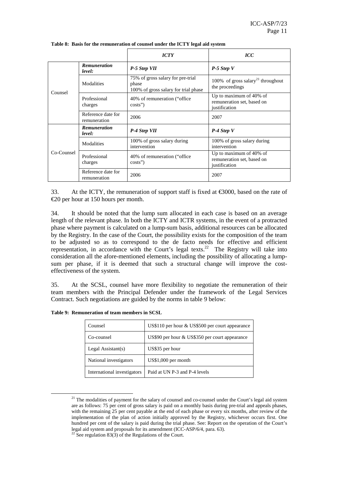|                       |                                    | <b>ICTY</b>                                                                        | $\mathit{ICC}$                                                         |
|-----------------------|------------------------------------|------------------------------------------------------------------------------------|------------------------------------------------------------------------|
| Counsel<br>Co-Counsel | <b>Remuneration</b><br>level:      | P-5 Step VII                                                                       | $P-5$ Step V                                                           |
|                       | Modalities                         | 75% of gross salary for pre-trial<br>phase<br>100% of gross salary for trial phase | 100% of gross salary <sup>21</sup> throughout<br>the proceedings       |
|                       | Professional<br>charges            | 40% of remuneration ("office"<br>$costs$ "                                         | Up to maximum of 40% of<br>remuneration set, based on<br>justification |
|                       | Reference date for<br>remuneration | 2006                                                                               | 2007                                                                   |
|                       | <b>Remuneration</b><br>level:      | P-4 Step VII                                                                       | $P-4$ Step V                                                           |
|                       | Modalities                         | 100% of gross salary during<br>intervention                                        | 100% of gross salary during<br>intervention                            |
|                       | Professional<br>charges            | 40% of remuneration ("office"<br>$costs$ "                                         | Up to maximum of 40% of<br>remuneration set, based on<br>justification |
|                       | Reference date for<br>remuneration | 2006                                                                               | 2007                                                                   |

**Table 8: Basis for the remuneration of counsel under the ICTY legal aid system** 

33. At the ICTY, the remuneration of support staff is fixed at  $\epsilon$ 3000, based on the rate of €20 per hour at 150 hours per month.

34. It should be noted that the lump sum allocated in each case is based on an average length of the relevant phase. In both the ICTY and ICTR systems, in the event of a protracted phase where payment is calculated on a lump-sum basis, additional resources can be allocated by the Registry. In the case of the Court, the possibility exists for the composition of the team to be adjusted so as to correspond to the de facto needs for effective and efficient representation, in accordance with the Court's legal texts.<sup>22</sup> The Registry will take into consideration all the afore-mentioned elements, including the possibility of allocating a lumpsum per phase, if it is deemed that such a structural change will improve the costeffectiveness of the system.

35. At the SCSL, counsel have more flexibility to negotiate the remuneration of their team members with the Principal Defender under the framework of the Legal Services Contract. Such negotiations are guided by the norms in table 9 below:

**Table 9: Remuneration of team members in SCSL** 

| Counsel                     | US\$110 per hour & US\$500 per court appearance |
|-----------------------------|-------------------------------------------------|
| Co-counsel                  | US\$90 per hour & US\$350 per court appearance  |
| Legal Assistant(s)          | US\$35 per hour                                 |
| National investigators      | $US$1,000$ per month                            |
| International investigators | Paid at UN P-3 and P-4 levels                   |

 $21$  The modalities of payment for the salary of counsel and co-counsel under the Court's legal aid system are as follows: 75 per cent of gross salary is paid on a monthly basis during pre-trial and appeals phases, with the remaining 25 per cent payable at the end of each phase or every six months, after review of the implementation of the plan of action initially approved by the Registry, whichever occurs first. One hundred per cent of the salary is paid during the trial phase. See: Report on the operation of the Court's legal aid system and proposals for its amendment (ICC-ASP/6/4, para. 63). <sup>22</sup> See regulation 83(3) of the Regulations of the Court.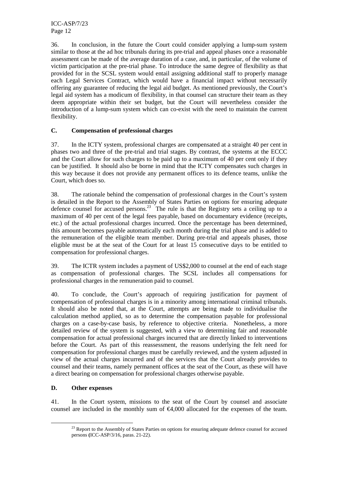36. In conclusion, in the future the Court could consider applying a lump-sum system similar to those at the ad hoc tribunals during its pre-trial and appeal phases once a reasonable assessment can be made of the average duration of a case, and, in particular, of the volume of victim participation at the pre-trial phase. To introduce the same degree of flexibility as that provided for in the SCSL system would entail assigning additional staff to properly manage each Legal Services Contract, which would have a financial impact without necessarily offering any guarantee of reducing the legal aid budget. As mentioned previously, the Court's legal aid system has a modicum of flexibility, in that counsel can structure their team as they deem appropriate within their set budget, but the Court will nevertheless consider the introduction of a lump-sum system which can co-exist with the need to maintain the current flexibility.

#### **C. Compensation of professional charges**

37. In the ICTY system, professional charges are compensated at a straight 40 per cent in phases two and three of the pre-trial and trial stages. By contrast, the systems at the ECCC and the Court allow for such charges to be paid up to a maximum of 40 per cent only if they can be justified. It should also be borne in mind that the ICTY compensates such charges in this way because it does not provide any permanent offices to its defence teams, unlike the Court, which does so.

38. The rationale behind the compensation of professional charges in the Court's system is detailed in the Report to the Assembly of States Parties on options for ensuring adequate defence counsel for accused persons.<sup>23</sup> The rule is that the Registry sets a ceiling up to a maximum of 40 per cent of the legal fees payable, based on documentary evidence (receipts, etc.) of the actual professional charges incurred. Once the percentage has been determined, this amount becomes payable automatically each month during the trial phase and is added to the remuneration of the eligible team member. During pre-trial and appeals phases, those eligible must be at the seat of the Court for at least 15 consecutive days to be entitled to compensation for professional charges.

39. The ICTR system includes a payment of US\$2,000 to counsel at the end of each stage as compensation of professional charges. The SCSL includes all compensations for professional charges in the remuneration paid to counsel.

40. To conclude, the Court's approach of requiring justification for payment of compensation of professional charges is in a minority among international criminal tribunals. It should also be noted that, at the Court, attempts are being made to individualise the calculation method applied, so as to determine the compensation payable for professional charges on a case-by-case basis, by reference to objective criteria. Nonetheless, a more detailed review of the system is suggested, with a view to determining fair and reasonable compensation for actual professional charges incurred that are directly linked to interventions before the Court. As part of this reassessment, the reasons underlying the felt need for compensation for professional charges must be carefully reviewed, and the system adjusted in view of the actual charges incurred and of the services that the Court already provides to counsel and their teams, namely permanent offices at the seat of the Court, as these will have a direct bearing on compensation for professional charges otherwise payable.

### **D. Other expenses**

 $\overline{a}$ 

41. In the Court system, missions to the seat of the Court by counsel and associate counsel are included in the monthly sum of  $\epsilon$ 4,000 dlocated for the expenses of the team.

<sup>&</sup>lt;sup>23</sup> Report to the Assembly of States Parties on options for ensuring adequate defence counsel for accused persons **(**ICC-ASP/3/16, paras. 21-22).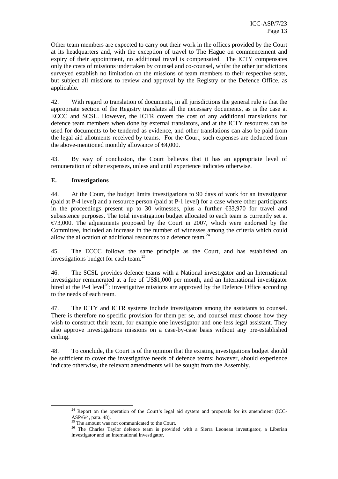Other team members are expected to carry out their work in the offices provided by the Court at its headquarters and, with the exception of travel to The Hague on commencement and expiry of their appointment, no additional travel is compensated. The ICTY compensates only the costs of missions undertaken by counsel and co-counsel, whilst the other jurisdictions surveyed establish no limitation on the missions of team members to their respective seats, but subject all missions to review and approval by the Registry or the Defence Office, as applicable.

42. With regard to translation of documents, in all jurisdictions the general rule is that the appropriate section of the Registry translates all the necessary documents, as is the case at ECCC and SCSL. However, the ICTR covers the cost of any additional translations for defence team members when done by external translators, and at the ICTY resources can be used for documents to be tendered as evidence, and other translations can also be paid from the legal aid allotments received by teams. For the Court, such expenses are deducted from the above-mentioned monthly allowance of  $\epsilon$ 4,000.

43. By way of conclusion, the Court believes that it has an appropriate level of remuneration of other expenses, unless and until experience indicates otherwise.

#### **E. Investigations**

 $\overline{a}$ 

44. At the Court, the budget limits investigations to 90 days of work for an investigator (paid at P-4 level) and a resource person (paid at P-1 level) for a case where other participants in the proceedings present up to 30 witnesses, plus a further  $\epsilon$ 33,970 for travel and subsistence purposes. The total investigation budget allocated to each team is currently set at  $\epsilon$ 73,000. The adjustments proposed by the Court in 2007, which were endorsed by the Committee, included an increase in the number of witnesses among the criteria which could allow the allocation of additional resources to a defence team.<sup>24</sup>

45. The ECCC follows the same principle as the Court, and has established an investigations budget for each team.<sup>25</sup>

46. The SCSL provides defence teams with a National investigator and an International investigator remunerated at a fee of US\$1,000 per month, and an International investigator hired at the P-4 level<sup>26</sup>: investigative missions are approved by the Defence Office according to the needs of each team.

47. The ICTY and ICTR systems include investigators among the assistants to counsel. There is therefore no specific provision for them per se, and counsel must choose how they wish to construct their team, for example one investigator and one less legal assistant. They also approve investigations missions on a case-by-case basis without any pre-established ceiling.

48. To conclude, the Court is of the opinion that the existing investigations budget should be sufficient to cover the investigative needs of defence teams; however, should experience indicate otherwise, the relevant amendments will be sought from the Assembly.

<sup>&</sup>lt;sup>24</sup> Report on the operation of the Court's legal aid system and proposals for its amendment (ICC-ASP/6/4, para. 48).

 $25$  The amount was not communicated to the Court.

<sup>&</sup>lt;sup>26</sup> The Charles Taylor defence team is provided with a Sierra Leonean investigator, a Liberian investigator and an international investigator.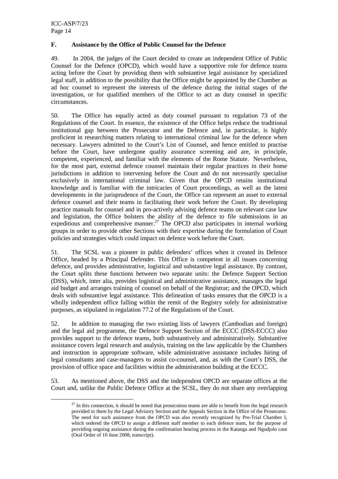$\overline{a}$ 

#### **F. Assistance by the Office of Public Counsel for the Defence**

49. In 2004, the judges of the Court decided to create an independent Office of Public Counsel for the Defence (OPCD), which would have a supportive role for defence teams acting before the Court by providing them with substantive legal assistance by specialized legal staff, in addition to the possibility that the Office might be appointed by the Chamber as ad hoc counsel to represent the interests of the defence during the initial stages of the investigation, or for qualified members of the Office to act as duty counsel in specific circumstances.

50. The Office has equally acted as duty counsel pursuant to regulation 73 of the Regulations of the Court. In essence, the existence of the Office helps reduce the traditional institutional gap between the Prosecutor and the Defence and, in particular, is highly proficient in researching matters relating to international criminal law for the defence when necessary. Lawyers admitted to the Court's List of Counsel, and hence entitled to practise before the Court, have undergone quality assurance screening and are, in principle, competent, experienced, and familiar with the elements of the Rome Statute. Nevertheless, for the most part, external defence counsel maintain their regular practices in their home jurisdictions in addition to intervening before the Court and do not necessarily specialise exclusively in international criminal law. Given that the OPCD retains institutional knowledge and is familiar with the intricacies of Court proceedings, as well as the latest developments in the jurisprudence of the Court, the Office can represent an asset to external defence counsel and their teams in facilitating their work before the Court. By developing practice manuals for counsel and in pro-actively advising defence teams on relevant case law and legislation, the Office bolsters the ability of the defence to file submissions in an expeditious and comprehensive manner.<sup>27</sup> The OPCD also participates in internal working groups in order to provide other Sections with their expertise during the formulation of Court policies and strategies which could impact on defence work before the Court.

51. The SCSL was a pioneer in public defenders' offices when it created its Defence Office, headed by a Principal Defender. This Office is competent in all issues concerning defence, and provides administrative, logistical and substantive legal assistance. By contrast, the Court splits these functions between two separate units: the Defence Support Section (DSS), which, inter alia, provides logistical and administrative assistance, manages the legal aid budget and arranges training of counsel on behalf of the Registrar; and the OPCD, which deals with substantive legal assistance. This delineation of tasks ensures that the OPCD is a wholly independent office falling within the remit of the Registry solely for administrative purposes, as stipulated in regulation 77.2 of the Regulations of the Court.

52. In addition to managing the two existing lists of lawyers (Cambodian and foreign) and the legal aid programme, the Defence Support Section of the ECCC (DSS-ECCC) also provides support to the defence teams, both substantively and administratively. Substantive assistance covers legal research and analysis, training on the law applicable by the Chambers and instruction in appropriate software, while administrative assistance includes hiring of legal consultants and case-managers to assist co-counsel, and, as with the Court's DSS, the provision of office space and facilities within the administration building at the ECCC.

53. As mentioned above, the DSS and the independent OPCD are separate offices at the Court and, unlike the Public Defence Office at the SCSL, they do not share any overlapping

 $27$  In this connection, it should be noted that prosecution teams are able to benefit from the legal research provided to them by the Legal Advisory Section and the Appeals Section in the Office of the Prosecutor. The need for such assistance from the OPCD was also recently recognized by Pre-Trial Chamber I, which ordered the OPCD to assign a different staff member to each defence team, for the purpose of providing ongoing assistance during the confirmation hearing process in the Katanga and Ngudjolo case (Oral Order of 10 June 2008, transcript).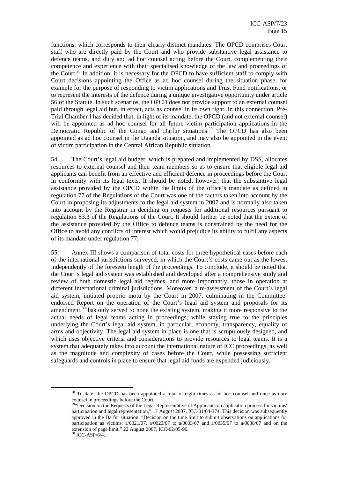functions, which corresponds to their clearly distinct mandates. The OPCD comprises Court staff who are directly paid by the Court and who provide substantive legal assistance to defence teams, and duty and ad hoc counsel acting before the Court, complementing their competence and experience with their specialised knowledge of the law and proceedings of the Court.<sup>28</sup> In addition, it is necessary for the OPCD to have sufficient staff to comply with Court decisions appointing the Office as ad hoc counsel during the situation phase, for example for the purpose of responding to victim applications and Trust Fund notifications, or to represent the interests of the defence during a unique investigative opportunity under article 56 of the Statute. In such scenarios, the OPCD does not provide support to an external counsel paid through legal aid but, in effect, acts as counsel in its own right. In this connection, Pre-Trial Chamber I has decided that, in light of its mandate, the OPCD (and not external counsel) will be appointed as ad hoc counsel for all future victim participation applications in the Democratic Republic of the Congo and Darfur situations.<sup>29</sup> The OPCD has also been appointed as ad hoc counsel in the Uganda situation, and may also be appointed in the event of victim participation in the Central African Republic situation.

54. The Court's legal aid budget, which is prepared and implemented by DSS, allocates resources to external counsel and their team members so as to ensure that eligible legal aid applicants can benefit from an effective and efficient defence in proceedings before the Court in conformity with its legal texts. It should be noted, however, that the substantive legal assistance provided by the OPCD within the limits of the office's mandate as defined in regulation 77 of the Regulations of the Court was one of the factors taken into account by the Court in proposing its adjustments to the legal aid system in 2007 and is normally also taken into account by the Registrar in deciding on requests for additional resources pursuant to regulation 83.3 of the Regulations of the Court. It should further be noted that the extent of the assistance provided by the Office to defence teams is constrained by the need for the Office to avoid any conflicts of interest which would prejudice its ability to fulfil any aspects of its mandate under regulation 77.

55. Annex III shows a comparison of total costs for three hypothetical cases before each of the international jurisdictions surveyed, in which the Court's costs came out as the lowest independently of the foreseen length of the proceedings. To conclude, it should be noted that the Court's legal aid system was established and developed after a comprehensive study and review of both domestic legal aid regimes, and more importantly, those in operation at different international criminal jurisdictions. Moreover, a re-assessment of the Court's legal aid system, initiated proprio motu by the Court in 2007, culminating in the Committeeendorsed Report on the operation of the Court's legal aid system and proposals for its amendment,<sup>30</sup> has only served to hone the existing system, making it more responsive to the actual needs of legal teams acting in proceedings, while staying true to the principles underlying the Court's legal aid system, in particular, economy, transparency, equality of arms and objectivity. The legal aid system in place is one that is scrupulously designed, and which uses objective criteria and considerations to provide resources to legal teams. It is a system that adequately takes into account the international nature of ICC proceedings, as well as the magnitude and complexity of cases before the Court, while possessing sufficient safeguards and controls in place to ensure that legal aid funds are expended judiciously.

<sup>&</sup>lt;sup>28</sup> To date, the OPCD has been appointed a total of eight times as ad hoc counsel and once as duty counsel in proceedings before the Court.

 $^{29}$ "Decision on the Requests of the Legal Representative of Applicants on application process for victims' participation and legal representation," 17 August 2007, ICC-01/04-374. This decision was subsequently approved in the Darfur situation: "Decision on the time limit to submit observations on applications for participation as victims:  $a/0021/07$ ,  $a/0023/07$  to  $a/0033/07$  and  $a/0035/07$  to  $a/0038/07$  and on the extension of page limit," 22 August 2007, ICC-02/05-96.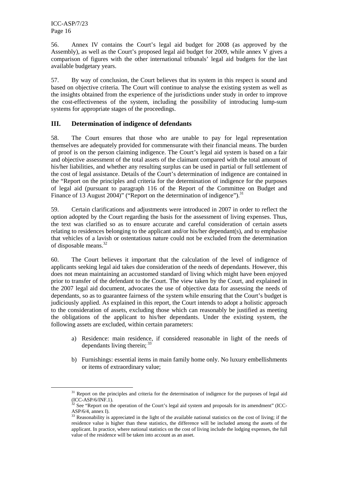$\overline{a}$ 

56. Annex IV contains the Court's legal aid budget for 2008 (as approved by the Assembly), as well as the Court's proposed legal aid budget for 2009, while annex V gives a comparison of figures with the other international tribunals' legal aid budgets for the last available budgetary years.

57. By way of conclusion, the Court believes that its system in this respect is sound and based on objective criteria. The Court will continue to analyse the existing system as well as the insights obtained from the experience of the jurisdictions under study in order to improve the cost-effectiveness of the system, including the possibility of introducing lump-sum systems for appropriate stages of the proceedings.

### **III. Determination of indigence of defendants**

58. The Court ensures that those who are unable to pay for legal representation themselves are adequately provided for commensurate with their financial means. The burden of proof is on the person claiming indigence. The Court's legal aid system is based on a fair and objective assessment of the total assets of the claimant compared with the total amount of his/her liabilities, and whether any resulting surplus can be used in partial or full settlement of the cost of legal assistance. Details of the Court's determination of indigence are contained in the "Report on the principles and criteria for the determination of indigence for the purposes of legal aid (pursuant to paragraph 116 of the Report of the Committee on Budget and Finance of 13 August 2004)" ("Report on the determination of indigence").<sup>31</sup>

59. Certain clarifications and adjustments were introduced in 2007 in order to reflect the option adopted by the Court regarding the basis for the assessment of living expenses. Thus, the text was clarified so as to ensure accurate and careful consideration of certain assets relating to residences belonging to the applicant and/or his/her dependant(s), and to emphasise that vehicles of a lavish or ostentatious nature could not be excluded from the determination of disposable means.<sup>32</sup>

60. The Court believes it important that the calculation of the level of indigence of applicants seeking legal aid takes due consideration of the needs of dependants. However, this does not mean maintaining an accustomed standard of living which might have been enjoyed prior to transfer of the defendant to the Court. The view taken by the Court, and explained in the 2007 legal aid document, advocates the use of objective data for assessing the needs of dependants, so as to guarantee fairness of the system while ensuring that the Court's budget is judiciously applied. As explained in this report, the Court intends to adopt a holistic approach to the consideration of assets, excluding those which can reasonably be justified as meeting the obligations of the applicant to his/her dependants. Under the existing system, the following assets are excluded, within certain parameters:

- a) Residence: main residence, if considered reasonable in light of the needs of dependants living therein;  $33$
- b) Furnishings: essential items in main family home only. No luxury embellishments or items of extraordinary value;

<sup>&</sup>lt;sup>31</sup> Report on the principles and criteria for the determination of indigence for the purposes of legal aid (ICC-ASP/6/INF.1).

 $32$  See "Report on the operation of the Court's legal aid system and proposals for its amendment" (ICC-ASP/6/4, annex I).

 $33$  Reasonability is appreciated in the light of the available national statistics on the cost of living; if the residence value is higher than these statistics, the difference will be included among the assets of the applicant. In practice, where national statistics on the cost of living include the lodging expenses, the full value of the residence will be taken into account as an asset.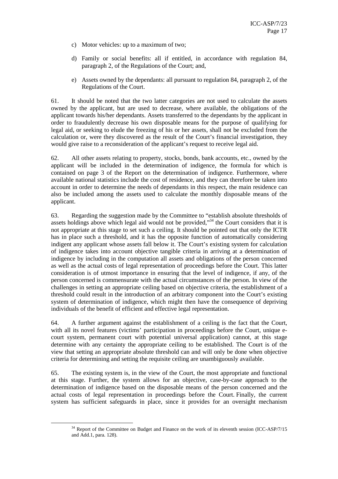- c) Motor vehicles: up to a maximum of two;
- d) Family or social benefits: all if entitled, in accordance with regulation 84, paragraph 2, of the Regulations of the Court; and,
- e) Assets owned by the dependants: all pursuant to regulation 84, paragraph 2, of the Regulations of the Court.

61. It should be noted that the two latter categories are not used to calculate the assets owned by the applicant, but are used to decrease, where available, the obligations of the applicant towards his/her dependants. Assets transferred to the dependants by the applicant in order to fraudulently decrease his own disposable means for the purpose of qualifying for legal aid, or seeking to elude the freezing of his or her assets, shall not be excluded from the calculation or, were they discovered as the result of the Court's financial investigation, they would give raise to a reconsideration of the applicant's request to receive legal aid.

62. All other assets relating to property, stocks, bonds, bank accounts, etc., owned by the applicant will be included in the determination of indigence, the formula for which is contained on page 3 of the Report on the determination of indigence. Furthermore, where available national statistics include the cost of residence, and they can therefore be taken into account in order to determine the needs of dependants in this respect, the main residence can also be included among the assets used to calculate the monthly disposable means of the applicant.

63. Regarding the suggestion made by the Committee to "establish absolute thresholds of assets holdings above which legal aid would not be provided,"<sup>34</sup> the Court considers that it is not appropriate at this stage to set such a ceiling. It should be pointed out that only the ICTR has in place such a threshold, and it has the opposite function of automatically considering indigent any applicant whose assets fall below it. The Court's existing system for calculation of indigence takes into account objective tangible criteria in arriving at a determination of indigence by including in the computation all assets and obligations of the person concerned as well as the actual costs of legal representation of proceedings before the Court. This latter consideration is of utmost importance in ensuring that the level of indigence, if any, of the person concerned is commensurate with the actual circumstances of the person. In view of the challenges in setting an appropriate ceiling based on objective criteria, the establishment of a threshold could result in the introduction of an arbitrary component into the Court's existing system of determination of indigence, which might then have the consequence of depriving individuals of the benefit of efficient and effective legal representation.

64. A further argument against the establishment of a ceiling is the fact that the Court, with all its novel features (victims' participation in proceedings before the Court, unique ecourt system, permanent court with potential universal application) cannot, at this stage determine with any certainty the appropriate ceiling to be established. The Court is of the view that setting an appropriate absolute threshold can and will only be done when objective criteria for determining and setting the requisite ceiling are unambiguously available.

65. The existing system is, in the view of the Court, the most appropriate and functional at this stage. Further, the system allows for an objective, case-by-case approach to the determination of indigence based on the disposable means of the person concerned and the actual costs of legal representation in proceedings before the Court. Finally, the current system has sufficient safeguards in place, since it provides for an oversight mechanism

<sup>&</sup>lt;sup>34</sup> Report of the Committee on Budget and Finance on the work of its eleventh session (ICC-ASP/7/15 and Add.1, para. 128).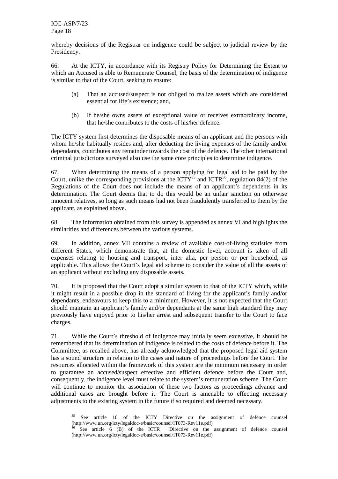ICC-ASP/7/23 Page 18

 $\overline{a}$ 

whereby decisions of the Registrar on indigence could be subject to judicial review by the Presidency.

66. At the ICTY, in accordance with its Registry Policy for Determining the Extent to which an Accused is able to Remunerate Counsel, the basis of the determination of indigence is similar to that of the Court, seeking to ensure:

- (a) That an accused/suspect is not obliged to realize assets which are considered essential for life's existence; and,
- (b) If he/she owns assets of exceptional value or receives extraordinary income, that he/she contributes to the costs of his/her defence.

The ICTY system first determines the disposable means of an applicant and the persons with whom he/she habitually resides and, after deducting the living expenses of the family and/or dependants, contributes any remainder towards the cost of the defence. The other international criminal jurisdictions surveyed also use the same core principles to determine indigence.

67. When determining the means of a person applying for legal aid to be paid by the Court, unlike the corresponding provisions at the ICTY<sup>35</sup> and ICTR<sup>36</sup>, regulation 84(2) of the Regulations of the Court does not include the means of an applicant's dependents in its determination. The Court deems that to do this would be an unfair sanction on otherwise innocent relatives, so long as such means had not been fraudulently transferred to them by the applicant, as explained above.

68. The information obtained from this survey is appended as annex VI and highlights the similarities and differences between the various systems.

69. In addition, annex VII contains a review of available cost-of-living statistics from different States, which demonstrate that, at the domestic level, account is taken of all expenses relating to housing and transport, inter alia, per person or per household, as applicable*.* This allows the Court's legal aid scheme to consider the value of all the assets of an applicant without excluding any disposable assets.

70. It is proposed that the Court adopt a similar system to that of the ICTY which, while it might result in a possible drop in the standard of living for the applicant's family and/or dependants, endeavours to keep this to a minimum. However, it is not expected that the Court should maintain an applicant's family and/or dependants at the same high standard they may previously have enjoyed prior to his/her arrest and subsequent transfer to the Court to face charges.

71. While the Court's threshold of indigence may initially seem excessive, it should be remembered that its determination of indigence is related to the costs of defence before it. The Committee, as recalled above, has already acknowledged that the proposed legal aid system has a sound structure in relation to the cases and nature of proceedings before the Court. The resources allocated within the framework of this system are the minimum necessary in order to guarantee an accused/suspect effective and efficient defence before the Court and, consequently, the indigence level must relate to the system's remuneration scheme. The Court will continue to monitor the association of these two factors as proceedings advance and additional cases are brought before it. The Court is amenable to effecting necessary adjustments to the existing system in the future if so required and deemed necessary.

See article 10 of the ICTY Directive on the assignment of defence counsel (http://www.un.org/icty/legaldoc-e/basic/counsel/IT073-Rev11e.pdf)

<sup>&</sup>lt;sup>36</sup> See article 6 (B) of the ICTR Directive on the assignment of defence counsel (http://www.un.org/icty/legaldoc-e/basic/counsel/IT073-Rev11e.pdf)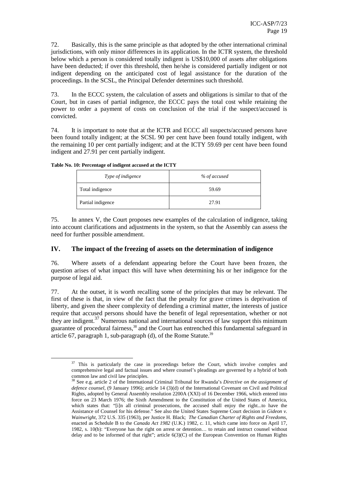72. Basically, this is the same principle as that adopted by the other international criminal jurisdictions, with only minor differences in its application. In the ICTR system, the threshold below which a person is considered totally indigent is US\$10,000 of assets after obligations have been deducted; if over this threshold, then he/she is considered partially indigent or not indigent depending on the anticipated cost of legal assistance for the duration of the proceedings. In the SCSL, the Principal Defender determines such threshold.

73. In the ECCC system, the calculation of assets and obligations is similar to that of the Court, but in cases of partial indigence, the ECCC pays the total cost while retaining the power to order a payment of costs on conclusion of the trial if the suspect/accused is convicted.

74. It is important to note that at the ICTR and ECCC all suspects/accused persons have been found totally indigent; at the SCSL 90 per cent have been found totally indigent, with the remaining 10 per cent partially indigent; and at the ICTY 59.69 per cent have been found indigent and 27.91 per cent partially indigent.

**Table No. 10: Percentage of indigent accused at the ICTY** 

 $\overline{a}$ 

| Type of indigence | % of accused |
|-------------------|--------------|
| Total indigence   | 59.69        |
| Partial indigence | 27.91        |

75. In annex V, the Court proposes new examples of the calculation of indigence, taking into account clarifications and adjustments in the system, so that the Assembly can assess the need for further possible amendment.

### **IV. The impact of the freezing of assets on the determination of indigence**

76. Where assets of a defendant appearing before the Court have been frozen, the question arises of what impact this will have when determining his or her indigence for the purpose of legal aid.

77. At the outset, it is worth recalling some of the principles that may be relevant. The first of these is that, in view of the fact that the penalty for grave crimes is deprivation of liberty, and given the sheer complexity of defending a criminal matter, the interests of justice require that accused persons should have the benefit of legal representation, whether or not they are indigent.<sup>37</sup> Numerous national and international sources of law support this minimum guarantee of procedural fairness,<sup>38</sup> and the Court has entrenched this fundamental safeguard in article 67, paragraph 1, sub-paragraph (d), of the Rome Statute.<sup>39</sup>

 $37$  This is particularly the case in proceedings before the Court, which involve complex and comprehensive legal and factual issues and where counsel's pleadings are governed by a hybrid of both common law and civil law principles.

<sup>38</sup> See e.g. article 2 of the International Criminal Tribunal for Rwanda's *Directive on the assignment of defence counsel*, (9 January 1996); article 14 (3)(d) of the International Covenant on Civil and Political Rights, adopted by General Assembly resolution 2200A (XXI) of 16 December 1966, which entered into force on 23 March 1976; the Sixth Amendment to the Constitution of the United States of America, which states that: "[i]n all criminal prosecutions, the accused shall enjoy the right...to have the Assistance of Counsel for his defense." See also the United States Supreme Court decision in *Gideon v. Wainwright*, 372 U.S. 335 (1963), per Justice H. Black; *The Canadian Charter of Rights and Freedoms*, enacted as Schedule B to the *Canada Act 1982* (U.K.) 1982, c. 11, which came into force on April 17, 1982, s. 10(b): "Everyone has the right on arrest or detention… to retain and instruct counsel without delay and to be informed of that right"; article 6(3)(C) of the European Convention on Human Rights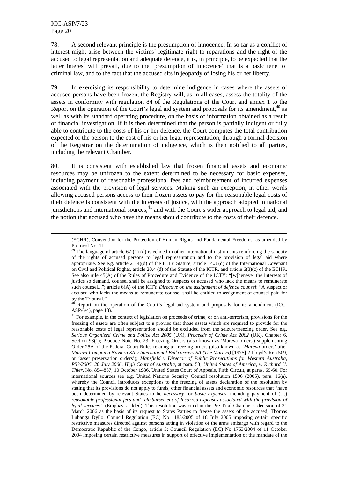$\overline{a}$ 

78. A second relevant principle is the presumption of innocence. In so far as a conflict of interest might arise between the victims' legitimate right to reparations and the right of the accused to legal representation and adequate defence, it is, in principle, to be expected that the latter interest will prevail, due to the 'presumption of innocence' that is a basic tenet of criminal law, and to the fact that the accused sits in jeopardy of losing his or her liberty.

79. In exercising its responsibility to determine indigence in cases where the assets of accused persons have been frozen, the Registry will, as in all cases, assess the totality of the assets in conformity with regulation 84 of the Regulations of the Court and annex 1 to the Report on the operation of the Court's legal aid system and proposals for its amendment, $40$  as well as with its standard operating procedure, on the basis of information obtained as a result of financial investigation. If it is then determined that the person is partially indigent or fully able to contribute to the costs of his or her defence, the Court computes the total contribution expected of the person to the cost of his or her legal representation, through a formal decision of the Registrar on the determination of indigence, which is then notified to all parties, including the relevant Chamber.

80. It is consistent with established law that frozen financial assets and economic resources may be unfrozen to the extent determined to be necessary for basic expenses, including payment of reasonable professional fees and reimbursement of incurred expenses associated with the provision of legal services. Making such an exception, in other words allowing accused persons access to their frozen assets to pay for the reasonable legal costs of their defence is consistent with the interests of justice, with the approach adopted in national jurisdictions and international sources,  $\frac{41}{1}$  and with the Court's wider approach to legal aid, and the notion that accused who have the means should contribute to the costs of their defence.

<sup>40</sup> Report on the operation of the Court's legal aid system and proposals for its amendment (ICC-ASP/6/4), page 13).

<sup>(</sup>ECHR), Convention for the Protection of Human Rights and Fundamental Freedoms, as amended by Protocol No. 11.

 $39$  The language of article 67 (1) (d) is echoed in other international instruments reinforcing the sanctity of the rights of accused persons to legal representation and to the provision of legal aid where appropriate. See e.g. article 21(4)(d) of the ICTY Statute, article 14.3 (d) of the International Covenant on Civil and Political Rights, article 20.4 (d) of the Statute of the ICTR, and article 6(3)(c) of the ECHR. See also rule 45(A) of the Rules of Procedure and Evidence of the ICTY: "[w]henever the interests of justice so demand, counsel shall be assigned to suspects or accused who lack the means to remunerate such counsel..."; article 6(A) of the ICTY *Directive on the assignment of defence counsel*: "A suspect or accused who lacks the means to remunerate counsel shall be entitled to assignment of counsel paid for by the Tribunal."

<sup>&</sup>lt;sup>41</sup> For example, in the context of legislation on proceeds of crime, or on anti-terrorism, provisions for the freezing of assets are often subject to a proviso that those assets which are required to provide for the reasonable costs of legal representation should be excluded from the seizure/freezing order. See e.g. *Serious Organized Crime and Police Act 2005* (UK), *Proceeds of Crime Act 2002* (UK), Chapter 6, Section 98(1); Practice Note No. 23: Freezing Orders (also known as 'Mareva orders') supplementing Order 25A of the Federal Court Rules relating to freezing orders (also known as '*Mareva* orders' after *Mareva Compania Naviera SA v International Bulkcarriers SA (The Mareva)* [1975] 2 Lloyd's Rep 509, or 'asset preservation orders'); *Mansfield v Director of Public Prosecutions for Western Australia, P53/2005, 20 July 2006, High Court of Australia*, at para. 53; *United States of America, v. Richard H. Thier*, No. 85-4857, 10 October 1986, United States Court of Appeals, Fifth Circuit, at paras. 69-60. For international sources see e.g. United Nations Security Council resolution 1596 (2005), para. 16(a), whereby the Council introduces exceptions to the freezing of assets declaration of the resolution by stating that its provisions do not apply to funds, other financial assets and economic resources that "have been determined by relevant States to be *necessary* for *basic expenses*, including payment of (…) *reasonable professional fees and reimbursement of incurred expenses associated with the provision of legal services*." (Emphasis added). This resolution was cited in the Pre-Trial Chamber's decision of 31 March 2006 as the basis of its request to States Parties to freeze the assets of the accused, Thomas Lubanga Dyilo. Council Regulation (EC) No 1183/2005 of 18 July 2005 imposing certain specific restrictive measures directed against persons acting in violation of the arms embargo with regard to the Democratic Republic of the Congo, article 3; Council Regulation (EC) No 1763/2004 of 11 October 2004 imposing certain restrictive measures in support of effective implementation of the mandate of the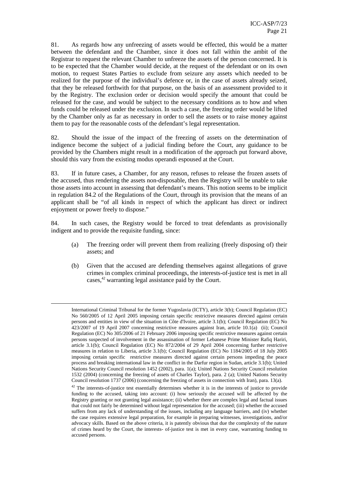81. As regards how any unfreezing of assets would be effected, this would be a matter between the defendant and the Chamber, since it does not fall within the ambit of the Registrar to request the relevant Chamber to unfreeze the assets of the person concerned. It is to be expected that the Chamber would decide, at the request of the defendant or on its own motion, to request States Parties to exclude from seizure any assets which needed to be realized for the purpose of the individual's defence or, in the case of assets already seized, that they be released forthwith for that purpose, on the basis of an assessment provided to it by the Registry. The exclusion order or decision would specify the amount that could be released for the case, and would be subject to the necessary conditions as to how and when funds could be released under the exclusion. In such a case, the freezing order would be lifted by the Chamber only as far as necessary in order to sell the assets or to raise money against them to pay for the reasonable costs of the defendant's legal representation.

82. Should the issue of the impact of the freezing of assets on the determination of indigence become the subject of a judicial finding before the Court, any guidance to be provided by the Chambers might result in a modification of the approach put forward above, should this vary from the existing modus operandi espoused at the Court.

83. If in future cases, a Chamber, for any reason, refuses to release the frozen assets of the accused, thus rendering the assets non-disposable, then the Registry will be unable to take those assets into account in assessing that defendant's means. This notion seems to be implicit in regulation 84.2 of the Regulations of the Court, through its provision that the means of an applicant shall be "of all kinds in respect of which the applicant has direct or indirect enjoyment or power freely to dispose."

84. In such cases, the Registry would be forced to treat defendants as provisionally indigent and to provide the requisite funding, since:

- (a) The freezing order will prevent them from realizing (freely disposing of) their assets; and
- (b) Given that the accused are defending themselves against allegations of grave crimes in complex criminal proceedings, the interests-of-justice test is met in all cases, $42$  warranting legal assistance paid by the Court.

International Criminal Tribunal for the former Yugoslavia (ICTY), article 3(b); Council Regulation (EC) No 560/2005 of 12 April 2005 imposing certain specific restrictive measures directed against certain persons and entities in view of the situation in Côte d'Ivoire, article 3.1(b); Council Regulation (EC) No 423/2007 of 19 April 2007 concerning restrictive measures against Iran, article 10.1(a) (ii); Council Regulation (EC) No 305/2006 of 21 February 2006 imposing specific restrictive measures against certain persons suspected of involvement in the assassination of former Lebanese Prime Minister Rafiq Hariri, article 3.1(b); Council Regulation (EC) No 872/2004 of 29 April 2004 concerning further restrictive measures in relation to Liberia, article 3.1(b); Council Regulation (EC) No 1184/2005 of 18 July 2005 imposing certain specific restrictive measures directed against certain persons impeding the peace process and breaking international law in the conflict in the Darfur region in Sudan, article 3.1(b); United Nations Security Council resolution 1452 (2002), para. 1(a); United Nations Security Council resolution 1532 (2004) (concerning the freezing of assets of Charles Taylor), para. 2 (a); United Nations Security Council resolution 1737 (2006) (concerning the freezing of assets in connection with Iran), para. 13(a).

<sup>&</sup>lt;sup>42</sup> The interests-of-justice test essentially determines whether it is in the interests of justice to provide funding to the accused, taking into account: (i) how seriously the accused will be affected by the Registry granting or not granting legal assistance; (ii) whether there are complex legal and factual issues that could not fairly be determined without legal representation for the accused; (iii) whether the accused suffers from any lack of understanding of the issues, including any language barriers, and (iv) whether the case requires extensive legal preparation, for example in preparing witnesses, investigations, and/or advocacy skills. Based on the above criteria, it is patently obvious that due the complexity of the nature of crimes heard by the Court, the interests- of-justice test is met in every case, warranting funding to accused persons.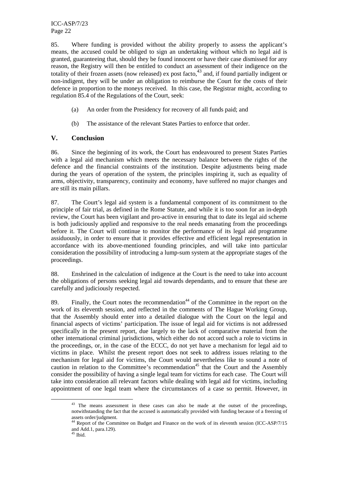ICC-ASP/7/23 Page 22

85. Where funding is provided without the ability properly to assess the applicant's means, the accused could be obliged to sign an undertaking without which no legal aid is granted, guaranteeing that, should they be found innocent or have their case dismissed for any reason, the Registry will then be entitled to conduct an assessment of their indigence on the totality of their frozen assets (now released) ex post facto, $43 \text{ and, if found partially indifferent or }$ non-indigent, they will be under an obligation to reimburse the Court for the costs of their defence in proportion to the moneys received. In this case, the Registrar might, according to regulation 85.4 of the Regulations of the Court, seek:

- (a) An order from the Presidency for recovery of all funds paid; and
- (b) The assistance of the relevant States Parties to enforce that order.

#### **V. Conclusion**

86. Since the beginning of its work, the Court has endeavoured to present States Parties with a legal aid mechanism which meets the necessary balance between the rights of the defence and the financial constraints of the institution. Despite adjustments being made during the years of operation of the system, the principles inspiring it, such as equality of arms, objectivity, transparency, continuity and economy, have suffered no major changes and are still its main pillars.

87. The Court's legal aid system is a fundamental component of its commitment to the principle of fair trial, as defined in the Rome Statute, and while it is too soon for an in-depth review, the Court has been vigilant and pro-active in ensuring that to date its legal aid scheme is both judiciously applied and responsive to the real needs emanating from the proceedings before it. The Court will continue to monitor the performance of its legal aid programme assiduously, in order to ensure that it provides effective and efficient legal representation in accordance with its above-mentioned founding principles, and will take into particular consideration the possibility of introducing a lump-sum system at the appropriate stages of the proceedings.

88. Enshrined in the calculation of indigence at the Court is the need to take into account the obligations of persons seeking legal aid towards dependants, and to ensure that these are carefully and judiciously respected.

89. Finally, the Court notes the recommendation<sup>44</sup> of the Committee in the report on the work of its eleventh session, and reflected in the comments of The Hague Working Group, that the Assembly should enter into a detailed dialogue with the Court on the legal and financial aspects of victims' participation. The issue of legal aid for victims is not addressed specifically in the present report, due largely to the lack of comparative material from the other international criminal jurisdictions, which either do not accord such a role to victims in the proceedings, or, in the case of the ECCC, do not yet have a mechanism for legal aid to victims in place. Whilst the present report does not seek to address issues relating to the mechanism for legal aid for victims, the Court would nevertheless like to sound a note of caution in relation to the Committee's recommendation<sup>45</sup> that the Court and the Assembly consider the possibility of having a single legal team for victims for each case. The Court will take into consideration all relevant factors while dealing with legal aid for victims, including appointment of one legal team where the circumstances of a case so permit. However, in

<sup>&</sup>lt;sup>43</sup> The means assessment in these cases can also be made at the outset of the proceedings, notwithstanding the fact that the accused is automatically provided with funding because of a freezing of assets order/judgment.

<sup>&</sup>lt;sup>44</sup> Report of the Committee on Budget and Finance on the work of its eleventh session (ICC-ASP/7/15 and Add.1, para.129).

 $45$  Ibid.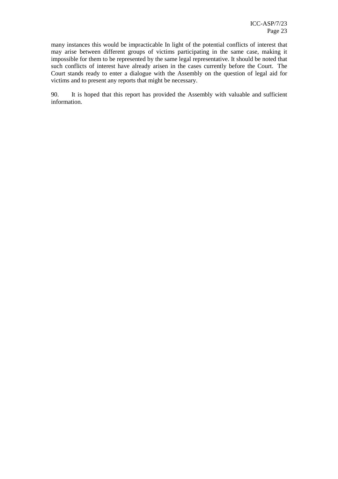many instances this would be impracticable In light of the potential conflicts of interest that may arise between different groups of victims participating in the same case, making it impossible for them to be represented by the same legal representative. It should be noted that such conflicts of interest have already arisen in the cases currently before the Court. The Court stands ready to enter a dialogue with the Assembly on the question of legal aid for victims and to present any reports that might be necessary.

90. It is hoped that this report has provided the Assembly with valuable and sufficient information.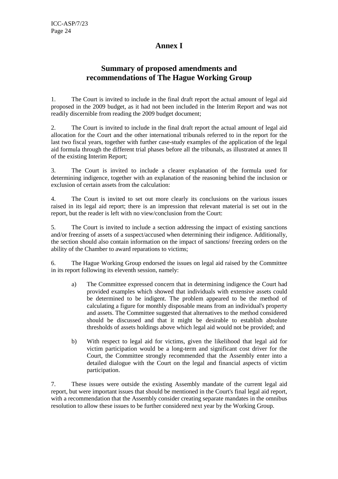## **Annex I**

## **Summary of proposed amendments and recommendations of The Hague Working Group**

1. The Court is invited to include in the final draft report the actual amount of legal aid proposed in the 2009 budget, as it had not been included in the Interim Report and was not readily discernible from reading the 2009 budget document;

2. The Court is invited to include in the final draft report the actual amount of legal aid allocation for the Court and the other international tribunals referred to in the report for the last two fiscal years, together with further case-study examples of the application of the legal aid formula through the different trial phases before all the tribunals, as illustrated at annex II of the existing Interim Report;

3. The Court is invited to include a clearer explanation of the formula used for determining indigence, together with an explanation of the reasoning behind the inclusion or exclusion of certain assets from the calculation:

4. The Court is invited to set out more clearly its conclusions on the various issues raised in its legal aid report; there is an impression that relevant material is set out in the report, but the reader is left with no view/conclusion from the Court:

5. The Court is invited to include a section addressing the impact of existing sanctions and/or freezing of assets of a suspect/accused when determining their indigence. Additionally, the section should also contain information on the impact of sanctions/ freezing orders on the ability of the Chamber to award reparations to victims;

6. The Hague Working Group endorsed the issues on legal aid raised by the Committee in its report following its eleventh session, namely:

- a) The Committee expressed concern that in determining indigence the Court had provided examples which showed that individuals with extensive assets could be determined to be indigent. The problem appeared to be the method of calculating a figure for monthly disposable means from an individual's property and assets. The Committee suggested that alternatives to the method considered should be discussed and that it might be desirable to establish absolute thresholds of assets holdings above which legal aid would not be provided; and
- b) With respect to legal aid for victims, given the likelihood that legal aid for victim participation would be a long-term and significant cost driver for the Court, the Committee strongly recommended that the Assembly enter into a detailed dialogue with the Court on the legal and financial aspects of victim participation.

7. These issues were outside the existing Assembly mandate of the current legal aid report, but were important issues that should be mentioned in the Court's final legal aid report, with a recommendation that the Assembly consider creating separate mandates in the omnibus resolution to allow these issues to be further considered next year by the Working Group.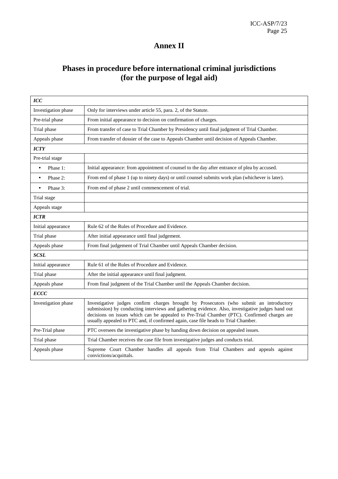## **Annex II**

## **Phases in procedure before international criminal jurisdictions (for the purpose of legal aid)**

| <b>ICC</b>            |                                                                                                                                                                                                                                                                                                                                                                                  |
|-----------------------|----------------------------------------------------------------------------------------------------------------------------------------------------------------------------------------------------------------------------------------------------------------------------------------------------------------------------------------------------------------------------------|
| Investigation phase   | Only for interviews under article 55, para. 2, of the Statute.                                                                                                                                                                                                                                                                                                                   |
| Pre-trial phase       | From initial appearance to decision on confirmation of charges.                                                                                                                                                                                                                                                                                                                  |
| Trial phase           | From transfer of case to Trial Chamber by Presidency until final judgment of Trial Chamber.                                                                                                                                                                                                                                                                                      |
| Appeals phase         | From transfer of dossier of the case to Appeals Chamber until decision of Appeals Chamber.                                                                                                                                                                                                                                                                                       |
| <b>ICTY</b>           |                                                                                                                                                                                                                                                                                                                                                                                  |
| Pre-trial stage       |                                                                                                                                                                                                                                                                                                                                                                                  |
| Phase 1:<br>$\bullet$ | Initial appearance: from appointment of counsel to the day after entrance of plea by accused.                                                                                                                                                                                                                                                                                    |
| Phase 2:<br>$\bullet$ | From end of phase 1 (up to ninety days) or until counsel submits work plan (whichever is later).                                                                                                                                                                                                                                                                                 |
| Phase 3:<br>$\bullet$ | From end of phase 2 until commencement of trial.                                                                                                                                                                                                                                                                                                                                 |
| Trial stage           |                                                                                                                                                                                                                                                                                                                                                                                  |
| Appeals stage         |                                                                                                                                                                                                                                                                                                                                                                                  |
| <b>ICTR</b>           |                                                                                                                                                                                                                                                                                                                                                                                  |
| Initial appearance    | Rule 62 of the Rules of Procedure and Evidence.                                                                                                                                                                                                                                                                                                                                  |
| Trial phase           | After initial appearance until final judgement.                                                                                                                                                                                                                                                                                                                                  |
| Appeals phase         | From final judgement of Trial Chamber until Appeals Chamber decision.                                                                                                                                                                                                                                                                                                            |
| <b>SCSL</b>           |                                                                                                                                                                                                                                                                                                                                                                                  |
| Initial appearance    | Rule 61 of the Rules of Procedure and Evidence.                                                                                                                                                                                                                                                                                                                                  |
| Trial phase           | After the initial appearance until final judgment.                                                                                                                                                                                                                                                                                                                               |
| Appeals phase         | From final judgment of the Trial Chamber until the Appeals Chamber decision.                                                                                                                                                                                                                                                                                                     |
| <b>ECCC</b>           |                                                                                                                                                                                                                                                                                                                                                                                  |
| Investigation phase   | Investigative judges confirm charges brought by Prosecutors (who submit an introductory<br>submission) by conducting interviews and gathering evidence. Also, investigative judges hand out<br>decisions on issues which can be appealed to Pre-Trial Chamber (PTC). Confirmed charges are<br>usually appealed to PTC and, if confirmed again, case file heads to Trial Chamber. |
| Pre-Trial phase       | PTC oversees the investigative phase by handing down decision on appealed issues.                                                                                                                                                                                                                                                                                                |
| Trial phase           | Trial Chamber receives the case file from investigative judges and conducts trial.                                                                                                                                                                                                                                                                                               |
| Appeals phase         | Supreme Court Chamber handles all appeals from Trial Chambers and appeals against<br>convictions/acquittals.                                                                                                                                                                                                                                                                     |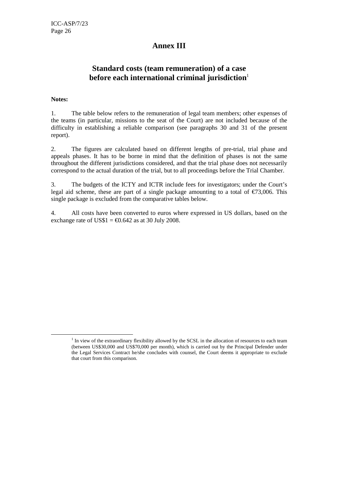## **Annex III**

## **Standard costs (team remuneration) of a case before each international criminal jurisdiction**<sup>1</sup>

#### **Notes:**

 $\overline{a}$ 

1. The table below refers to the remuneration of legal team members; other expenses of the teams (in particular, missions to the seat of the Court) are not included because of the difficulty in establishing a reliable comparison (see paragraphs 30 and 31 of the present report).

2. The figures are calculated based on different lengths of pre-trial, trial phase and appeals phases. It has to be borne in mind that the definition of phases is not the same throughout the different jurisdictions considered, and that the trial phase does not necessarily correspond to the actual duration of the trial, but to all proceedings before the Trial Chamber.

3. The budgets of the ICTY and ICTR include fees for investigators; under the Court's legal aid scheme, these are part of a single package amounting to a total of  $\epsilon$ 73,006. This single package is excluded from the comparative tables below.

4. All costs have been converted to euros where expressed in US dollars, based on the exchange rate of US\$1 =  $\text{\textsterling}0.642$  as at 30 July 2008.

<sup>&</sup>lt;sup>1</sup> In view of the extraordinary flexibility allowed by the SCSL in the allocation of resources to each team (between US\$30,000 and US\$70,000 per month), which is carried out by the Principal Defender under the Legal Services Contract he/she concludes with counsel, the Court deems it appropriate to exclude that court from this comparison.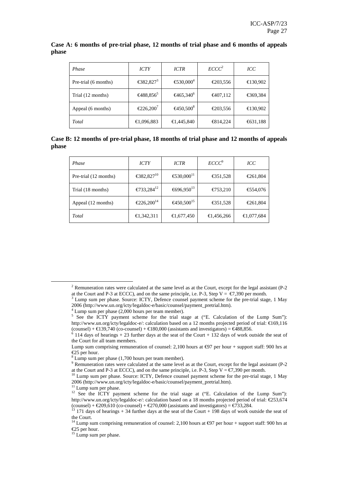| Phase                | <b>ICTY</b>                              | <b>ICTR</b>                               | $\textit{ECCC}^2$ | ICC      |
|----------------------|------------------------------------------|-------------------------------------------|-------------------|----------|
| Pre-trial (6 months) | €382,827 <sup><math>\hat{t}</math></sup> | €530,000 <sup><math>\uparrow</math></sup> | €203,556          | €130,902 |
| Trial (12 months)    | €488,856                                 | €465,340 <sup>°</sup>                     | €407,112          | €369,384 |
| Appeal (6 months)    | €226,200                                 | €450,500                                  | €203,556          | €130,902 |
| Total                | €1,096,883                               | €1,445,840                                | €814,224          | €631,188 |

#### **Case A: 6 months of pre-trial phase, 12 months of trial phase and 6 months of appeals phase**

**Case B: 12 months of pre-trial phase, 18 months of trial phase and 12 months of appeals phase** 

| Phase                 | <b>ICTY</b>                     | <b>ICTR</b>                     | $ECCC^9$   | <b>ICC</b> |
|-----------------------|---------------------------------|---------------------------------|------------|------------|
| Pre-trial (12 months) | €382,827 <sup>0</sup>           | €530,000 <sup>1</sup>           | €351,528   | €261,804   |
| Trial (18 months)     | €733,284 <sup>2</sup>           | €696,950 <sup>3</sup>           | €753,210   | €554,076   |
| Appeal (12 months)    | $\epsilon$ 226,200 <sup>4</sup> | $\epsilon$ 450,500 <sup>5</sup> | €351,528   | €261,804   |
| Total                 | €1,342,311                      | €1,677,450                      | €1,456,266 | €1,077,684 |

<sup>11</sup> Lump sum per phase.

<sup>&</sup>lt;sup>2</sup> Remuneration rates were calculated at the same level as at the Court, except for the legal assistant (P-2 at the Court and P-3 at ECCC), and on the same principle, i.e. P-3, Step  $V = \epsilon 7,390$  per month.

<sup>&</sup>lt;sup>3</sup> Lump sum per phase. Source: ICTY, Defence counsel payment scheme for the pre-trial stage, 1 May 2006 (http://www.un.org/icty/legaldoc-e/basic/counsel/payment\_pretrial.htm).

<sup>4</sup> Lump sum per phase (2,000 hours per team member).

<sup>&</sup>lt;sup>5</sup> See the ICTY payment scheme for the trial stage at ("E. Calculation of the Lump Sum"): http://www.un.org/icty/legaldoc-e/: calculation based on a 12 months projected period of trial: €169,116

<sup>(</sup>counsel) +  $\in$ 139,740 (co-counsel) +  $\in$ 180,000 (assixants and investigators) =  $\in$ 488,856.<br><sup>6</sup> 114 days of hearings + 23 further days at the seat of the Court + 132 days of work outside the seat of the Court for all team members.

Lump sum comprising remuneration of counsel: 2,100 hours at  $\epsilon$ 97 per hour + support staff: 900 hrs at €25 per hour.

<sup>&</sup>lt;sup>8</sup> Lump sum per phase (1,700 hours per team member).

<sup>&</sup>lt;sup>9</sup> Remuneration rates were calculated at the same level as at the Court, except for the legal assistant (P-2 at the Court and P-3 at ECCC), and on the same principle, i.e. P-3, Step V =  $\epsilon$ 7,390 per month.

<sup>&</sup>lt;sup>10</sup> Lump sum per phase. Source: ICTY, Defence counsel payment scheme for the pre-trial stage, 1 May 2006 (http://www.un.org/icty/legaldoc-e/basic/counsel/payment\_pretrial.htm).

<sup>&</sup>lt;sup>12</sup> See the  $\overrightarrow{ICTY}$  payment scheme for the trial stage at ("E. Calculation of the Lump Sum"): http://www.un.org/icty/legaldoc-e/: calculation based on a 18 months projected period of trial: €253,674 (counsel) +  $\epsilon$ 209,610 (co-counsel) +  $\epsilon$ 270,000 (assistants and investigators) =  $\epsilon$ 733,284.

<sup>13</sup> 171 days of hearings + 34 further days at the seat of the Court + 198 days of work outside the seat of the Court.

<sup>&</sup>lt;sup>14</sup> Lump sum comprising remuneration of counsel: 2,100 hours at  $\epsilon$ 97 per hour + support staff: 900 hrs at €25 per hour.

<sup>&</sup>lt;sup>15</sup> Lump sum per phase.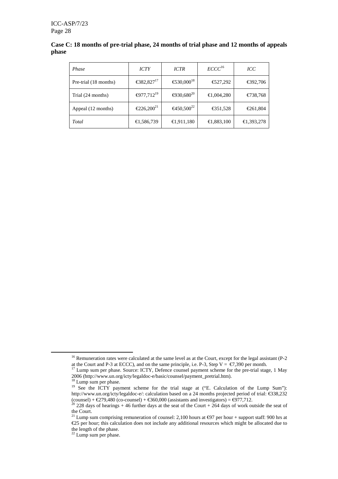|       | Case C: 18 months of pre-trial phase, 24 months of trial phase and 12 months of appeals |  |  |  |
|-------|-----------------------------------------------------------------------------------------|--|--|--|
| phase |                                                                                         |  |  |  |

| <i>Phase</i>          | <b>ICTY</b>                     | <b>ICTR</b>           | ECCC <sup>16</sup> | ICC        |
|-----------------------|---------------------------------|-----------------------|--------------------|------------|
| Pre-trial (18 months) | €382,827 <sup>7</sup>           | €530,000 <sup>8</sup> | €527,292           | €392,706   |
| Trial (24 months)     | €977,712 <sup>9</sup>           | €930,680 <sup>0</sup> | €1,004,280         | €738,768   |
| Appeal (12 months)    | $\epsilon$ 226,200 <sup>1</sup> | €450,500 <sup>2</sup> | €351,528           | €261,804   |
| Total                 | €1,586,739                      | €1,911,180            | €1,883,100         | €1,393,278 |

<sup>&</sup>lt;sup>16</sup> Remuneration rates were calculated at the same level as at the Court, except for the legal assistant (P-2 at the Court and P-3 at ECCC), and on the same principle, i.e. P-3, Step  $V = \epsilon 7,390$  per month.

<sup>&</sup>lt;sup>17</sup> Lump sum per phase. Source: ICTY, Defence counsel payment scheme for the pre-trial stage, 1 May 2006 (http://www.un.org/icty/legaldoc-e/basic/counsel/payment\_pretrial.htm).

<sup>&</sup>lt;sup>18</sup> Lump sum per phase.

<sup>&</sup>lt;sup>19</sup> See the ICTY payment scheme for the trial stage at ("E. Calculation of the Lump Sum"): http://www.un.org/icty/legaldoc-e/: calculation based on a 24 months projected period of trial: €338,232 (counsel) +  $\epsilon$ 279,480 (co-counsel) +  $\epsilon$ 360,000 (assitants and investigators) =  $\epsilon$ 977,712.

 $^{20}$  228 days of hearings + 46 further days at the seat of the Court + 264 days of work outside the seat of the Court.

<sup>&</sup>lt;sup>21</sup> Lump sum comprising remuneration of counsel: 2,100 hours at  $\epsilon$ 97 per hour + support staff: 900 hrs at €25 per hour; this calculation does not include any additional resources which might be allocated due to the length of the phase.

 $22$  Lump sum per phase.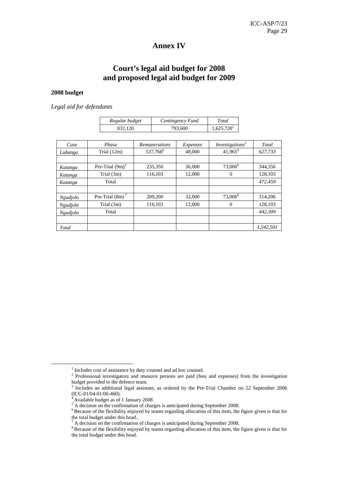## **Annex IV**

## **Court's legal aid budget for 2008 and proposed legal aid budget for 2009**

#### **2008 budget**

*Legal aid for defendants* 

| Regular budget | Contingency Fund | Total                  |
|----------------|------------------|------------------------|
| 832.120        | 793.600          | 1.625.720 <sup>1</sup> |

| Case            | Phase              | Remunerations        | Expenses | Investigations <sup>2</sup> | Total     |
|-----------------|--------------------|----------------------|----------|-----------------------------|-----------|
| Lubanga         | Trial $(12m)$      | 537,768 <sup>3</sup> | 48,000   | $41,965^4$                  | 627,733   |
|                 |                    |                      |          |                             |           |
| Katanga         | Pre-Trial $(9m)^5$ | 235,350              | 36,000   | 73,006 <sup>6</sup>         | 344,356   |
| Katanga         | Trial (3m)         | 116.103              | 12,000   | 0                           | 128.103   |
| Katanga         | Total              |                      |          |                             | 472,459   |
|                 |                    |                      |          |                             |           |
| <i>Ngudjolo</i> | Pre-Trial $(8m)^7$ | 209,200              | 32,000   | $73,006^8$                  | 314,206   |
| Ngudjolo        | Trial $(3m)$       | 116,103              | 12.000   | $\Omega$                    | 128,103   |
| Ngudjolo        | Total              |                      |          |                             | 442,309   |
|                 |                    |                      |          |                             |           |
| Total           |                    |                      |          |                             | 1.542.501 |

<sup>&</sup>lt;sup>1</sup> Includes cost of assistance by duty counsel and ad hoc counsel.

<sup>&</sup>lt;sup>2</sup> Professional investigators and resource persons are paid (fees and expenses) from the investigation budget provided to the defence team.<br><sup>3</sup> Includes an additional legal assists

Includes an additional legal assistant, as ordered by the Pre-Trial Chamber on 22 September 2006 (ICC-01/04-01/06-460).

 $4$  Available budget as of 1 January 2008

<sup>&</sup>lt;sup>5</sup> A decision on the confirmation of charges is anticipated during September 2008.

<sup>&</sup>lt;sup>6</sup>Because of the flexibility enjoyed by teams regarding allocation of this item, the figure given is that for

the total budget under this head..<br><sup>7</sup> A decision on the confirmation of charges is anticipated during September 2008.

<sup>&</sup>lt;sup>8</sup> Because of the flexibility enjoyed by teams regarding allocation of this item, the figure given is that for the total budget under this head.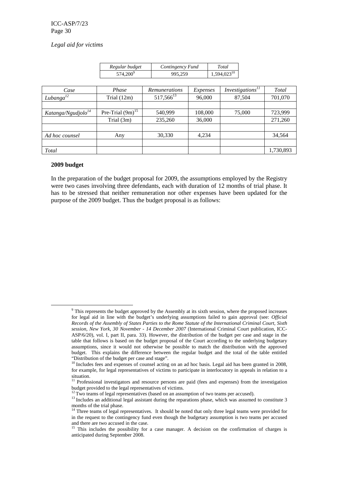#### *Legal aid for victims*

| Regular budget       | Contingency Fund | Total                   |
|----------------------|------------------|-------------------------|
| 574,200 <sup>9</sup> | 995.259          | 1,594,023 <sup>10</sup> |

| Case                           | Phase                 | <b>Remunerations</b> | Expenses | Investigations <sup>11</sup> | Total     |
|--------------------------------|-----------------------|----------------------|----------|------------------------------|-----------|
| Lubanga $^{12}$                | Trial $(12m)$         | $517,566^{13}$       | 96,000   | 87,504                       | 701,070   |
|                                |                       |                      |          |                              |           |
| Katanga/Ngudjolo <sup>14</sup> | Pre-Trial $(9m)^{15}$ | 540,999              | 108,000  | 75,000                       | 723,999   |
|                                | Trial $(3m)$          | 235,260              | 36,000   |                              | 271,260   |
|                                |                       |                      |          |                              |           |
| Ad hoc counsel                 | Any                   | 30,330               | 4.234    |                              | 34,564    |
|                                |                       |                      |          |                              |           |
| Total                          |                       |                      |          |                              | 1,730,893 |

#### **2009 budget**

 $\overline{a}$ 

In the preparation of the budget proposal for 2009, the assumptions employed by the Registry were two cases involving three defendants, each with duration of 12 months of trial phase. It has to be stressed that neither remuneration nor other expenses have been updated for the purpose of the 2009 budget. Thus the budget proposal is as follows:

<sup>&</sup>lt;sup>9</sup> This represents the budget approved by the Assembly at its sixth session, where the proposed increases for legal aid in line with the budget's underlying assumptions failed to gain approval (see: *Official Records of the Assembly of States Parties to the Rome Statute of the International Criminal Court, Sixth session, New York, 30 November - 14 December 2007* (International Criminal Court publication, ICC-ASP/6/20), vol. I, part II, para. 33). However, the distribution of the budget per case and stage in the table that follows is based on the budget proposal of the Court according to the underlying budgetary assumptions, since it would not otherwise be possible to match the distribution with the approved budget. This explains the difference between the regular budget and the total of the table entitled "Distribution of the budget per case and stage".

 $10$  Includes fees and expenses of counsel acting on an ad hoc basis. Legal aid has been granted in 2008, for example, for legal representatives of victims to participate in interlocutory in appeals in relation to a situation.

<sup>&</sup>lt;sup>11</sup> Professional investigators and resource persons are paid (fees and expenses) from the investigation budget provided to the legal representatives of victims.

 $12$  Two teams of legal representatives (based on an assumption of two teams per accused).

<sup>&</sup>lt;sup>13</sup> Includes an additional legal assistant during the reparations phase, which was assumed to constitute 3 months of the trial phase.

<sup>&</sup>lt;sup>14</sup> Three teams of legal representatives. It should be noted that only three legal teams were provided for in the request to the contingency fund even though the budgetary assumption is two teams per accused and there are two accused in the case.

<sup>&</sup>lt;sup>15</sup> This includes the possibility for a case manager. A decision on the confirmation of charges is anticipated during September 2008.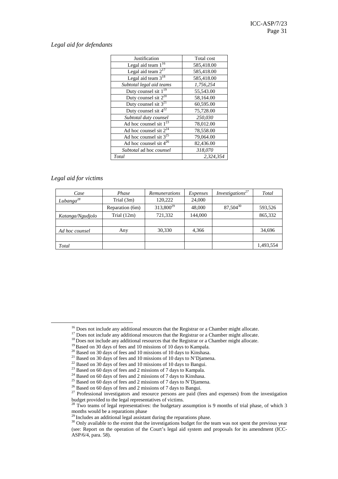#### *Legal aid for defendants*

| Justification                      | Total cost |
|------------------------------------|------------|
| Legal aid team $1^{\overline{16}}$ | 585,418.00 |
| Legal aid team $2^{17}$            | 585,418.00 |
| Legal aid team $3^{18}$            | 585,418.00 |
| Subtotal legal aid teams           | 1,756,254  |
| Duty counsel sit $1^{19}$          | 55,543.00  |
| Duty counsel sit $2^{20}$          | 58,164.00  |
| Duty counsel sit $3^{21}$          | 60,595.00  |
| Duty counsel sit $4^{22}$          | 75,728.00  |
| Subtotal duty counsel              | 250,030    |
| Ad hoc counsel sit $1^{23}$        | 78,012.00  |
| Ad hoc counsel sit $2^{24}$        | 78,558.00  |
| Ad hoc counsel sit $3^{25}$        | 79,064.00  |
| Ad hoc counsel sit $4^{26}$        | 82,436.00  |
| Subtotal ad hoc counsel            | 318,070    |
| Total                              | 2.324.354  |

#### *Legal aid for victims*

| Case             | Phase           | Remunerations         | Expenses | <i>Investigations</i> <sup>27</sup> | Total     |
|------------------|-----------------|-----------------------|----------|-------------------------------------|-----------|
| $Lubanga^{28}$   | Trial $(3m)$    | 120,222               | 24,000   |                                     |           |
|                  | Reparation (6m) | 313,800 <sup>29</sup> | 48,000   | 87,50430                            | 593,526   |
| Katanga/Ngudjolo | Trial $(12m)$   | 721,332               | 144,000  |                                     | 865,332   |
|                  |                 |                       |          |                                     |           |
| Ad hoc counsel   | Any             | 30,330                | 4,366    |                                     | 34,696    |
|                  |                 |                       |          |                                     |           |
| Total            |                 |                       |          |                                     | 1,493,554 |

<sup>&</sup>lt;sup>16</sup> Does not include any additional resources that the Registrar or a Chamber might allocate.

<sup>&</sup>lt;sup>17</sup> Does not include any additional resources that the Registrar or a Chamber might allocate.

<sup>&</sup>lt;sup>18</sup> Does not include any additional resources that the Registrar or a Chamber might allocate.

<sup>&</sup>lt;sup>19</sup> Based on 30 days of fees and 10 missions of 10 days to Kampala.

<sup>&</sup>lt;sup>20</sup> Based on 30 days of fees and 10 missions of 10 days to Kinshasa.

<sup>21</sup> Based on 30 days of fees and 10 missions of 10 days to N'Djamena.

 $22$  Based on 30 days of fees and 10 missions of 10 days to Bangui.

<sup>&</sup>lt;sup>23</sup> Based on 60 days of fees and 2 missions of 7 days to Kampala.

<sup>&</sup>lt;sup>24</sup> Based on 60 days of fees and 2 missions of 7 days to Kinshasa.

<sup>&</sup>lt;sup>25</sup> Based on 60 days of fees and 2 missions of 7 days to N'Djamena.

<sup>&</sup>lt;sup>26</sup> Based on 60 days of fees and 2 missions of 7 days to Bangui.

<sup>&</sup>lt;sup>27</sup> Professional investigators and resource persons are paid (fees and expenses) from the investigation budget provided to the legal representatives of victims.

 $^{28}$  Two teams of legal representatives: the budgetary assumption is 9 months of trial phase, of which 3 months would be a reparations phase

 $29$  Includes an additional legal assistant during the reparations phase.

<sup>&</sup>lt;sup>30</sup> Only available to the extent that the investigations budget for the team was not spent the previous year (see: Report on the operation of the Court's legal aid system and proposals for its amendment (ICC-ASP/6/4, para. 58).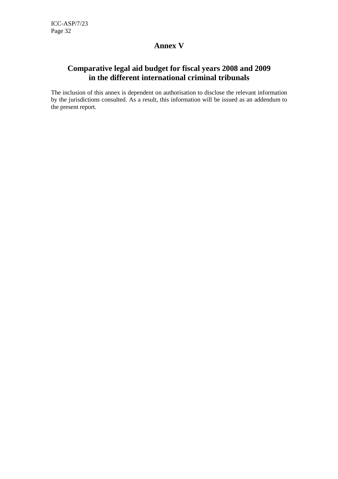## **Annex V**

## **Comparative legal aid budget for fiscal years 2008 and 2009 in the different international criminal tribunals**

The inclusion of this annex is dependent on authorisation to disclose the relevant information by the jurisdictions consulted. As a result, this information will be issued as an addendum to the present report.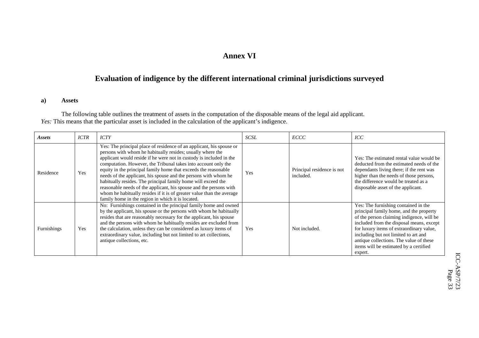## **Annex VI**

## **Evaluation of indigence by the different international criminal jurisdictions surveyed**

#### **a) Assets**

The following table outlines the treatment of assets in the computation of the disposable means of the legal aid applicant. *Yes:* This means that the particular asset is included in the calculation of the applicant's indigence.

| Assets      | <b>ICTR</b> | <b>ICTY</b>                                                                                                                                                                                                                                                                                                                                                                                                                                                                                                                                                                                                                                                                            | SCSL       | ECCC                                    | ICC                                                                                                                                                                                                                                                                                                                                                          |
|-------------|-------------|----------------------------------------------------------------------------------------------------------------------------------------------------------------------------------------------------------------------------------------------------------------------------------------------------------------------------------------------------------------------------------------------------------------------------------------------------------------------------------------------------------------------------------------------------------------------------------------------------------------------------------------------------------------------------------------|------------|-----------------------------------------|--------------------------------------------------------------------------------------------------------------------------------------------------------------------------------------------------------------------------------------------------------------------------------------------------------------------------------------------------------------|
| Residence   | Yes         | Yes: The principal place of residence of an applicant, his spouse or<br>persons with whom he habitually resides; usually where the<br>applicant would reside if he were not in custody is included in the<br>computation. However, the Tribunal takes into account only the<br>equity in the principal family home that exceeds the reasonable<br>needs of the applicant, his spouse and the persons with whom he<br>habitually resides. The principal family home will exceed the<br>reasonable needs of the applicant, his spouse and the persons with<br>whom he habitually resides if it is of greater value than the average<br>family home in the region in which it is located. | Yes        | Principal residence is not<br>included. | Yes: The estimated rental value would be<br>deducted from the estimated needs of the<br>dependants living there; if the rent was<br>higher than the needs of those persons,<br>the difference would be treated as a<br>disposable asset of the applicant.                                                                                                    |
| Furnishings | Yes         | No: Furnishings contained in the principal family home and owned<br>by the applicant, his spouse or the persons with whom he habitually<br>resides that are reasonably necessary for the applicant, his spouse<br>and the persons with whom he habitually resides are excluded from<br>the calculation, unless they can be considered as luxury items of<br>extraordinary value, including but not limited to art collections,<br>antique collections, etc.                                                                                                                                                                                                                            | <b>Yes</b> | Not included.                           | Yes: The furnishing contained in the<br>principal family home, and the property<br>of the person claiming indigence, will be<br>included from the disposal means, except<br>for luxury items of extraordinary value,<br>including but not limited to art and<br>antique collections. The value of these<br>items will be estimated by a certified<br>expert. |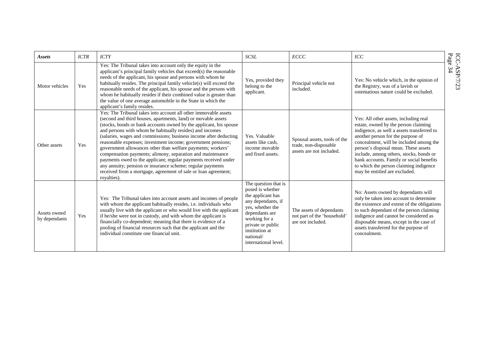| Assets                        | <b>ICTR</b> | <b>ICTY</b>                                                                                                                                                                                                                                                                                                                                                                                                                                                                                                                                                                                                                                                                                                                                            | <b>SCSL</b>                                                                                                                                                                                                            | ECCC                                                                              | ICC                                                                                                                                                                                                                                                                                                                                                                                                                   | Page                    |
|-------------------------------|-------------|--------------------------------------------------------------------------------------------------------------------------------------------------------------------------------------------------------------------------------------------------------------------------------------------------------------------------------------------------------------------------------------------------------------------------------------------------------------------------------------------------------------------------------------------------------------------------------------------------------------------------------------------------------------------------------------------------------------------------------------------------------|------------------------------------------------------------------------------------------------------------------------------------------------------------------------------------------------------------------------|-----------------------------------------------------------------------------------|-----------------------------------------------------------------------------------------------------------------------------------------------------------------------------------------------------------------------------------------------------------------------------------------------------------------------------------------------------------------------------------------------------------------------|-------------------------|
| Motor vehicles                | <b>Yes</b>  | Yes: The Tribunal takes into account only the equity in the<br>applicant's principal family vehicles that exceed(s) the reasonable<br>needs of the applicant, his spouse and persons with whom he<br>habitually resides. The principal family vehicle(s) will exceed the<br>reasonable needs of the applicant, his spouse and the persons with<br>whom he habitually resides if their combined value is greater than<br>the value of one average automobile in the State in which the<br>applicant's family resides.                                                                                                                                                                                                                                   | Yes, provided they<br>belong to the<br>applicant.                                                                                                                                                                      | Principal vehicle not<br>included.                                                | Yes: No vehicle which, in the opinion of<br>the Registry, was of a lavish or<br>ostentatious nature could be excluded.                                                                                                                                                                                                                                                                                                | ICC-ASP/7/23<br>Page 34 |
| Other assets                  | <b>Yes</b>  | Yes: The Tribunal takes into account all other immovable assets<br>(second and third houses, apartments, land) or movable assets<br>(stocks, bonds or bank accounts owned by the applicant, his spouse<br>and persons with whom he habitually resides) and incomes<br>(salaries, wages and commissions; business income after deducting<br>reasonable expenses; investment income; government pensions;<br>government allowances other than welfare payments; workers'<br>compensation payments; alimony, separation and maintenance<br>payments owed to the applicant; regular payments received under<br>any annuity; pension or insurance scheme; regular payments<br>received from a mortgage, agreement of sale or loan agreement;<br>royalties). | Yes. Valuable<br>assets like cash.<br>income movable<br>and fixed assets.                                                                                                                                              | Spousal assets, tools of the<br>trade, non-disposable<br>assets are not included. | Yes: All other assets, including real<br>estate, owned by the person claiming<br>indigence, as well a assets transferred to<br>another person for the purpose of<br>concealment, will be included among the<br>person's disposal mean. These assets<br>include, among others, stocks, bonds or<br>bank accounts. Family or social benefits<br>to which the person claiming indigence<br>may be entitled are excluded. |                         |
| Assets owned<br>by dependants | Yes         | Yes: The Tribunal takes into account assets and incomes of people<br>with whom the applicant habitually resides, i.e. individuals who<br>usually live with the applicant or who would live with the applicant<br>if he/she were not in custody, and with whom the applicant is<br>financially co-dependent; meaning that there is evidence of a<br>pooling of financial resources such that the applicant and the<br>individual constitute one financial unit.                                                                                                                                                                                                                                                                                         | The question that is<br>posed is whether<br>the applicant has<br>any dependants, if<br>yes, whether the<br>dependants are<br>working for a<br>private or public<br>institution at<br>national/<br>international level. | The assets of dependants<br>not part of the 'household'<br>are not included.      | No: Assets owned by dependants will<br>only be taken into account to determine<br>the existence and extent of the obligations<br>to such dependant of the person claiming<br>indigence and cannot be considered as<br>disposable means, except in the case of<br>assets transferred for the purpose of<br>concealment.                                                                                                |                         |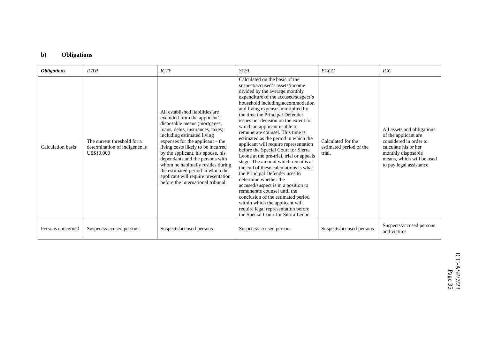## **b) Obligations**

| <b>Obligations</b> | <b>ICTR</b>                                                                | <b>ICTY</b>                                                                                                                                                                                                                                                                                                                                                                                                                                                                 | SCSL                                                                                                                                                                                                                                                                                                                                                                                                                                                                                                                                                                                                                                                                                                                                                                                                                                                                                                              | ECCC                                                    | ICC                                                                                                                                                                                 |
|--------------------|----------------------------------------------------------------------------|-----------------------------------------------------------------------------------------------------------------------------------------------------------------------------------------------------------------------------------------------------------------------------------------------------------------------------------------------------------------------------------------------------------------------------------------------------------------------------|-------------------------------------------------------------------------------------------------------------------------------------------------------------------------------------------------------------------------------------------------------------------------------------------------------------------------------------------------------------------------------------------------------------------------------------------------------------------------------------------------------------------------------------------------------------------------------------------------------------------------------------------------------------------------------------------------------------------------------------------------------------------------------------------------------------------------------------------------------------------------------------------------------------------|---------------------------------------------------------|-------------------------------------------------------------------------------------------------------------------------------------------------------------------------------------|
| Calculation basis  | The current threshold for a<br>determination of indigence is<br>US\$10,000 | All established liabilities are<br>excluded from the applicant's<br>disposable means (mortgages,<br>loans, debts, insurances, taxes)<br>including estimated living<br>expenses for the applicant – the<br>living costs likely to be incurred<br>by the applicant, his spouse, his<br>dependants and the persons with<br>whom he habitually resides during<br>the estimated period in which the<br>applicant will require presentation<br>before the international tribunal. | Calculated on the basis of the<br>suspect/accused's assets/income<br>divided by the average monthly<br>expenditure of the accused/suspect's<br>household including accommodation<br>and living expenses multiplied by<br>the time the Principal Defender<br>issues her decision on the extent to<br>which an applicant is able to<br>remunerate counsel. This time is<br>estimated as the period in which the<br>applicant will require representation<br>before the Special Court for Sierra<br>Leone at the pre-trial, trial or appeals<br>stage. The amount which remains at<br>the end of these calculations is what<br>the Principal Defender uses to<br>determine whether the<br>accused/suspect is in a position to<br>remunerate counsel until the<br>conclusion of the estimated period<br>within which the applicant will<br>require legal representation before<br>the Special Court for Sierra Leone. | Calculated for the<br>estimated period of the<br>trial. | All assets and obligations<br>of the applicant are<br>considered in order to<br>calculate his or her<br>monthly disposable<br>means, which will be used<br>to pay legal assistance. |
| Persons concerned  | Suspects/accused persons                                                   | Suspects/accused persons                                                                                                                                                                                                                                                                                                                                                                                                                                                    | Suspects/accused persons                                                                                                                                                                                                                                                                                                                                                                                                                                                                                                                                                                                                                                                                                                                                                                                                                                                                                          | Suspects/accused persons                                | Suspects/accused persons<br>and victims                                                                                                                                             |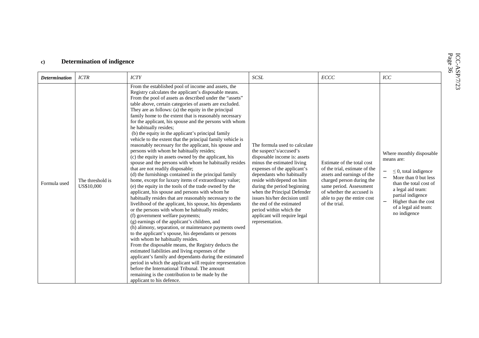| <b>Determination</b> | <b>ICTR</b>                    | <b>ICTY</b>                                                                                                                                                                                                                                                                                                                                                                                                                                                                                                                                                                                                                                                                                                                                                                                                                                                                                                                                                                                                                                                                                                                                                                                                                                                                                                                                                                                                                                                                                                                                                                                                                                                                                                                                                                                                                                  | SCSL                                                                                                                                                                                                                                                                                                                                                                                                                     | $\cal{ECCC}$                                                                                                                                                                                                                   | ICC                                                                                                                                                                                                                             |
|----------------------|--------------------------------|----------------------------------------------------------------------------------------------------------------------------------------------------------------------------------------------------------------------------------------------------------------------------------------------------------------------------------------------------------------------------------------------------------------------------------------------------------------------------------------------------------------------------------------------------------------------------------------------------------------------------------------------------------------------------------------------------------------------------------------------------------------------------------------------------------------------------------------------------------------------------------------------------------------------------------------------------------------------------------------------------------------------------------------------------------------------------------------------------------------------------------------------------------------------------------------------------------------------------------------------------------------------------------------------------------------------------------------------------------------------------------------------------------------------------------------------------------------------------------------------------------------------------------------------------------------------------------------------------------------------------------------------------------------------------------------------------------------------------------------------------------------------------------------------------------------------------------------------|--------------------------------------------------------------------------------------------------------------------------------------------------------------------------------------------------------------------------------------------------------------------------------------------------------------------------------------------------------------------------------------------------------------------------|--------------------------------------------------------------------------------------------------------------------------------------------------------------------------------------------------------------------------------|---------------------------------------------------------------------------------------------------------------------------------------------------------------------------------------------------------------------------------|
| Formula used         | The threshold is<br>US\$10,000 | From the established pool of income and assets, the<br>Registry calculates the applicant's disposable means.<br>From the pool of assets as described under the "assets"<br>table above, certain categories of assets are excluded.<br>They are as follows: (a) the equity in the principal<br>family home to the extent that is reasonably necessary<br>for the applicant, his spouse and the persons with whom<br>he habitually resides;<br>(b) the equity in the applicant's principal family<br>vehicle to the extent that the principal family vehicle is<br>reasonably necessary for the applicant, his spouse and<br>persons with whom he habitually resides;<br>(c) the equity in assets owned by the applicant, his<br>spouse and the persons with whom he habitually resides<br>that are not readily disposable;<br>(d) the furnishings contained in the principal family<br>home, except for luxury items of extraordinary value;<br>(e) the equity in the tools of the trade owned by the<br>applicant, his spouse and persons with whom he<br>habitually resides that are reasonably necessary to the<br>livelihood of the applicant, his spouse, his dependants<br>or the persons with whom he habitually resides;<br>(f) government welfare payments;<br>(g) earnings of the applicant's children, and<br>(h) alimony, separation, or maintenance payments owed<br>to the applicant's spouse, his dependants or persons<br>with whom he habitually resides.<br>From the disposable means, the Registry deducts the<br>estimated liabilities and living expenses of the<br>applicant's family and dependants during the estimated<br>period in which the applicant will require representation<br>before the International Tribunal. The amount<br>remaining is the contribution to be made by the<br>applicant to his defence. | The formula used to calculate<br>the suspect's/accused's<br>disposable income is: assets<br>minus the estimated living<br>expenses of the applicant's<br>dependants who habitually<br>reside with/depend on him<br>during the period beginning<br>when the Principal Defender<br>issues his/her decision until<br>the end of the estimated<br>period within which the<br>applicant will require legal<br>representation. | Estimate of the total cost<br>of the trial, estimate of the<br>assets and earnings of the<br>charged person during the<br>same period. Assessment<br>of whether the accused is<br>able to pay the entire cost<br>of the trial. | Where monthly disposable<br>means are:<br>$\leq$ 0, total indigence<br>More than 0 but less<br>than the total cost of<br>a legal aid team:<br>partial indigence<br>Higher than the cost<br>of a legal aid team:<br>no indigence |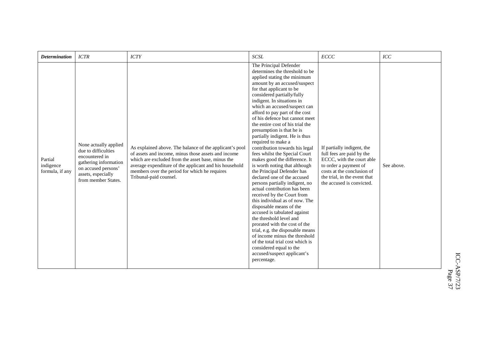| <b>Determination</b>                    | <b>ICTR</b>                                                                                                                                                 | <b>ICTY</b>                                                                                                                                                                                                                                                                                              | <b>SCSL</b>                                                                                                                                                                                                                                                                                                                                                                                                                                                                                                                                                                                                                                                                                                                                                                                                                                                                                                                                                                                                                                                                               | ECCC                                                                                                                                                                                                     | ICC        |
|-----------------------------------------|-------------------------------------------------------------------------------------------------------------------------------------------------------------|----------------------------------------------------------------------------------------------------------------------------------------------------------------------------------------------------------------------------------------------------------------------------------------------------------|-------------------------------------------------------------------------------------------------------------------------------------------------------------------------------------------------------------------------------------------------------------------------------------------------------------------------------------------------------------------------------------------------------------------------------------------------------------------------------------------------------------------------------------------------------------------------------------------------------------------------------------------------------------------------------------------------------------------------------------------------------------------------------------------------------------------------------------------------------------------------------------------------------------------------------------------------------------------------------------------------------------------------------------------------------------------------------------------|----------------------------------------------------------------------------------------------------------------------------------------------------------------------------------------------------------|------------|
| Partial<br>indigence<br>formula, if any | None actually applied<br>due to difficulties<br>encountered in<br>gathering information<br>on accused persons'<br>assets, especially<br>from member States. | As explained above. The balance of the applicant's pool<br>of assets and income, minus those assets and income<br>which are excluded from the asset base, minus the<br>average expenditure of the applicant and his household<br>members over the period for which he requires<br>Tribunal-paid counsel. | The Principal Defender<br>determines the threshold to be<br>applied stating the minimum<br>amount by an accused/suspect<br>for that applicant to be<br>considered partially/fully<br>indigent. In situations in<br>which an accused/suspect can<br>afford to pay part of the cost<br>of his defence but cannot meet<br>the entire cost of his trial the<br>presumption is that he is<br>partially indigent. He is thus<br>required to make a<br>contribution towards his legal<br>fees whilst the Special Court<br>makes good the difference. It<br>is worth noting that although<br>the Principal Defender has<br>declared one of the accused<br>persons partially indigent, no<br>actual contribution has been<br>received by the Court from<br>this individual as of now. The<br>disposable means of the<br>accused is tabulated against<br>the threshold level and<br>prorated with the cost of the<br>trial, e.g. the disposable means<br>of income minus the threshold<br>of the total trial cost which is<br>considered equal to the<br>accused/suspect applicant's<br>percentage. | If partially indigent, the<br>full fees are paid by the<br>ECCC, with the court able<br>to order a payment of<br>costs at the conclusion of<br>the trial, in the event that<br>the accused is convicted. | See above. |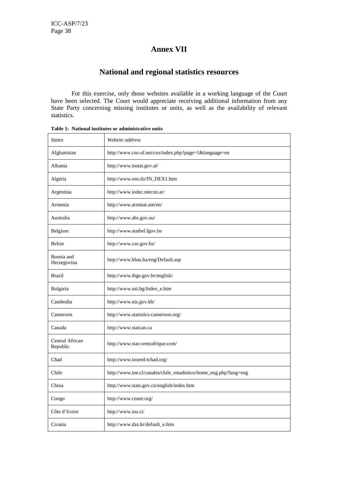## **Annex VII**

## **National and regional statistics resources**

For this exercise, only those websites available in a working language of the Court have been selected. The Court would appreciate receiving additional information from any State Party concerning missing institutes or units, as well as the availability of relevant statistics.

| <b>States</b>               | Website address                                                   |
|-----------------------------|-------------------------------------------------------------------|
| Afghanistan                 | http://www.cso-af.net/cso/index.php?page=1&language=en            |
| Albania                     | http://www.instat.gov.al/                                         |
| Algeria                     | http://www.ons.dz/IN_DEX1.htm                                     |
| Argentina                   | http://www.indec.mecon.ar/                                        |
| Armenia                     | http://www.armstat.am/en/                                         |
| Australia                   | http://www.abs.gov.au/                                            |
| Belgium                     | http://www.statbel.fgov.be                                        |
| Belize                      | http://www.cso.gov.bz/                                            |
| Bosnia and<br>Herzegovina   | http://www.bhas.ba/eng/Default.asp                                |
| <b>Brazil</b>               | http://www.ibge.gov.br/english/                                   |
| Bulgaria                    | http://www.nsi.bg/Index_e.htm                                     |
| Cambodia                    | http://www.nis.gov.kh/                                            |
| Cameroon                    | http://www.statistics-cameroon.org/                               |
| Canada                      | http://www.statcan.ca                                             |
| Central African<br>Republic | http://www.stat-centrafrique.com/                                 |
| Chad                        | http://www.inseed-tchad.org/                                      |
| Chile                       | http://www.ine.cl/canales/chile_estadistico/home_eng.php?lang=eng |
| China                       | http://www.stats.gov.cn/english/index.htm                         |
| Congo                       | http://www.cnsee.org/                                             |
| Côte d'Ivoire               | http://www.ins.ci/                                                |
| Croatia                     | http://www.dzs.hr/default_e.htm                                   |

**Table 1: National institutes or administrative units**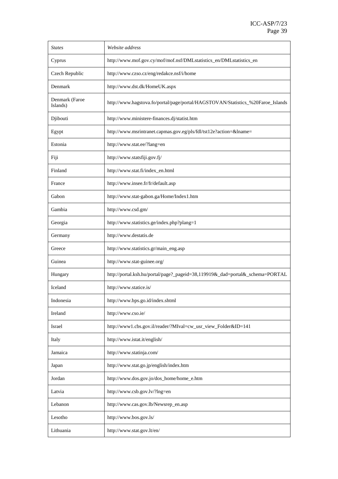| <b>States</b>              | Website address                                                                 |  |
|----------------------------|---------------------------------------------------------------------------------|--|
| Cyprus                     | http://www.mof.gov.cy/mof/mof.nsf/DMLstatistics_en/DMLstatistics_en             |  |
| Czech Republic             | http://www.czso.cz/eng/redakce.nsf/i/home                                       |  |
| Denmark                    | http://www.dst.dk/HomeUK.aspx                                                   |  |
| Denmark (Faroe<br>Islands) | http://www.hagstova.fo/portal/page/portal/HAGSTOVAN/Statistics_%20Faroe_Islands |  |
| Djibouti                   | http://www.ministere-finances.dj/statist.htm                                    |  |
| Egypt                      | http://www.msrintranet.capmas.gov.eg/pls/fdl/tst12e?action=&lname=              |  |
| Estonia                    | http://www.stat.ee/?lang=en                                                     |  |
| Fiji                       | http://www.statsfiji.gov.fj/                                                    |  |
| Finland                    | http://www.stat.fi/index_en.html                                                |  |
| France                     | http://www.insee.fr/fr/default.asp                                              |  |
| Gabon                      | http://www.stat-gabon.ga/Home/Index1.htm                                        |  |
| Gambia                     | http://www.csd.gm/                                                              |  |
| Georgia                    | http://www.statistics.ge/index.php?plang=1                                      |  |
| Germany                    | http://www.destatis.de                                                          |  |
| Greece                     | http://www.statistics.gr/main_eng.asp                                           |  |
| Guinea                     | http://www.stat-guinee.org/                                                     |  |
| Hungary                    | http://portal.ksh.hu/portal/page?_pageid=38,119919&_dad=portal&_schema=PORTAL   |  |
| Iceland                    | http://www.statice.is/                                                          |  |
| Indonesia                  | http://www.bps.go.id/index.shtml                                                |  |
| Ireland                    | http://www.cso.ie/                                                              |  |
| Israel                     | http://www1.cbs.gov.il/reader/?MIval=cw_usr_view_Folder&ID=141                  |  |
| Italy                      | http://www.istat.it/english/                                                    |  |
| Jamaica                    | http://www.statinja.com/                                                        |  |
| Japan                      | http://www.stat.go.jp/english/index.htm                                         |  |
| Jordan                     | http://www.dos.gov.jo/dos_home/home_e.htm                                       |  |
| Latvia                     | http://www.csb.gov.lv/?lng=en                                                   |  |
| Lebanon                    | http://www.cas.gov.lb/Newsrep_en.asp                                            |  |
| Lesotho                    | http://www.bos.gov.ls/                                                          |  |
| Lithuania                  | http://www.stat.gov.lt/en/                                                      |  |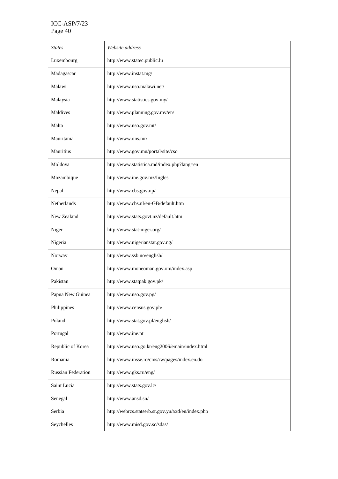| <b>States</b>             | Website address                                   |
|---------------------------|---------------------------------------------------|
| Luxembourg                | http://www.statec.public.lu                       |
| Madagascar                | http://www.instat.mg/                             |
| Malawi                    | http://www.nso.malawi.net/                        |
| Malaysia                  | http://www.statistics.gov.my/                     |
| Maldives                  | http://www.planning.gov.mv/en/                    |
| Malta                     | http://www.nso.gov.mt/                            |
| Mauritania                | http://www.ons.mr/                                |
| Mauritius                 | http://www.gov.mu/portal/site/cso                 |
| Moldova                   | http://www.statistica.md/index.php?lang=en        |
| Mozambique                | http://www.ine.gov.mz/Ingles                      |
| Nepal                     | http://www.cbs.gov.np/                            |
| Netherlands               | http://www.cbs.nl/en-GB/default.htm               |
| New Zealand               | http://www.stats.govt.nz/default.htm              |
| Niger                     | http://www.stat-niger.org/                        |
| Nigeria                   | http://www.nigerianstat.gov.ng/                   |
| Norway                    | http://www.ssb.no/english/                        |
| Oman                      | http://www.moneoman.gov.om/index.asp              |
| Pakistan                  | http://www.statpak.gov.pk/                        |
| Papua New Guinea          | http://www.nso.gov.pg/                            |
| Philippines               | http://www.census.gov.ph/                         |
| Poland                    | http://www.stat.gov.pl/english/                   |
| Portugal                  | http://www.ine.pt                                 |
| Republic of Korea         | http://www.nso.go.kr/eng2006/emain/index.html     |
| Romania                   | http://www.insse.ro/cms/rw/pages/index.en.do      |
| <b>Russian Federation</b> | http://www.gks.ru/eng/                            |
| Saint Lucia               | http://www.stats.gov.lc/                          |
| Senegal                   | http://www.ansd.sn/                               |
| Serbia                    | http://webrzs.statserb.sr.gov.yu/axd/en/index.php |
| Seychelles                | http://www.misd.gov.sc/sdas/                      |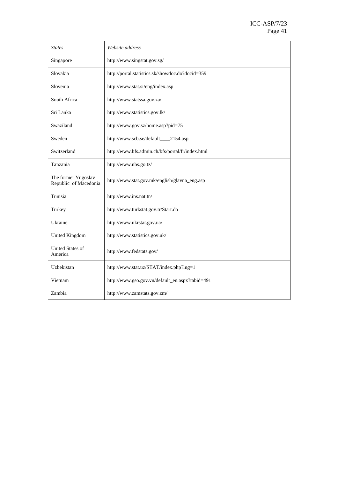| <b>States</b>                                | Website address                                  |  |
|----------------------------------------------|--------------------------------------------------|--|
| Singapore                                    | http://www.singstat.gov.sg/                      |  |
| Slovakia                                     | http://portal.statistics.sk/showdoc.do?docid=359 |  |
| Slovenia                                     | http://www.stat.si/eng/index.asp                 |  |
| South Africa                                 | http://www.statssa.gov.za/                       |  |
| Sri Lanka                                    | http://www.statistics.gov.lk/                    |  |
| Swaziland                                    | http://www.gov.sz/home.asp?pid=75                |  |
| Sweden                                       | http://www.scb.se/default___<br>2154.asp         |  |
| Switzerland                                  | http://www.bfs.admin.ch/bfs/portal/fr/index.html |  |
| Tanzania                                     | http://www.nbs.go.tz/                            |  |
| The former Yugoslav<br>Republic of Macedonia | http://www.stat.gov.mk/english/glavna_eng.asp    |  |
| Tunisia                                      | http://www.ins.nat.tn/                           |  |
| Turkey                                       | http://www.turkstat.gov.tr/Start.do              |  |
| Ukraine                                      | http://www.ukrstat.gov.ua/                       |  |
| United Kingdom                               | http://www.statistics.gov.uk/                    |  |
| <b>United States of</b><br>America           | http://www.fedstats.gov/                         |  |
| Uzbekistan                                   | http://www.stat.uz/STAT/index.php?lng=1          |  |
| Vietnam                                      | http://www.gso.gov.vn/default_en.aspx?tabid=491  |  |
| Zambia                                       | http://www.zamstats.gov.zm/                      |  |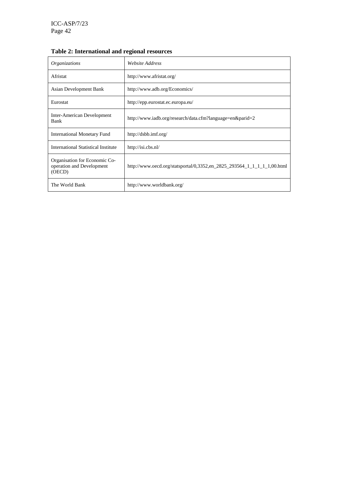| Organizations                                                        | Website Address                                                         |
|----------------------------------------------------------------------|-------------------------------------------------------------------------|
| Afristat                                                             | http://www.afristat.org/                                                |
| Asian Development Bank                                               | http://www.adb.org/Economics/                                           |
| Eurostat                                                             | http://epp.eurostat.ec.europa.eu/                                       |
| Inter-American Development<br>Bank                                   | http://www.iadb.org/research/data.cfm?language=en&parid=2               |
| <b>International Monetary Fund</b>                                   | http://dsbb.imf.org/                                                    |
| International Statistical Institute                                  | http://isi.cbs.nl/                                                      |
| Organisation for Economic Co-<br>operation and Development<br>(OECD) | http://www.oecd.org/statsportal/0,3352.en 2825 293564 1 1 1 1 1,00.html |
| The World Bank                                                       | http://www.worldbank.org/                                               |

## **Table 2: International and regional resources**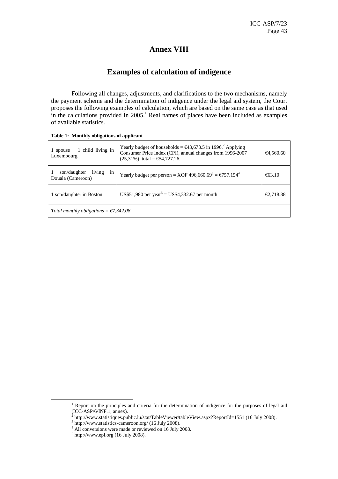## **Annex VIII**

## **Examples of calculation of indigence**

Following all changes, adjustments, and clarifications to the two mechanisms, namely the payment scheme and the determination of indigence under the legal aid system, the Court proposes the following examples of calculation, which are based on the same case as that used in the calculations provided in  $2005$ .<sup>1</sup> Real names of places have been included as examples of available statistics.

| spouse $+ 1$ child living in<br>Luxembourg        | Yearly budget of households = $\epsilon$ 43,673.5 in 1996 <sup>2</sup> Applying<br>Consumer Price Index (CPI), annual changes from 1996-2007<br>$(25,31\%)$ , total = €54,727.26. | €4,560.60 |  |  |
|---------------------------------------------------|-----------------------------------------------------------------------------------------------------------------------------------------------------------------------------------|-----------|--|--|
| living<br>son/daughter<br>1n<br>Douala (Cameroon) | Yearly budget per person = XOF 496,660.69 <sup>3</sup> = $\epsilon$ 757.154 <sup>4</sup>                                                                                          | €63.10    |  |  |
| 1 son/daughter in Boston                          | US\$51,980 per year <sup>5</sup> = US\$4,332.67 per month                                                                                                                         | €2,718.38 |  |  |
| Total monthly obligations = $\epsilon$ 7,342.08   |                                                                                                                                                                                   |           |  |  |

|  | Table 1: Monthly obligations of applicant |
|--|-------------------------------------------|
|  |                                           |

<sup>&</sup>lt;sup>1</sup> Report on the principles and criteria for the determination of indigence for the purposes of legal aid

<sup>(</sup>ICC-ASP/6/INF.1, annex).<br>
<sup>2</sup> http://www.statistiques.public.lu/stat/TableViewer/tableView.aspx?ReportId=1551 (16 July 2008).<br>
<sup>3</sup> http://www.statistics.compresen.org/(16 July 2008).

 $\frac{1}{3}$  http://www.statistics-cameroon.org/ (16 July 2008).

<sup>&</sup>lt;sup>4</sup> All conversions were made or reviewed on 16 July 2008.

 $<sup>5</sup>$  http://www.epi.org (16 July 2008).</sup>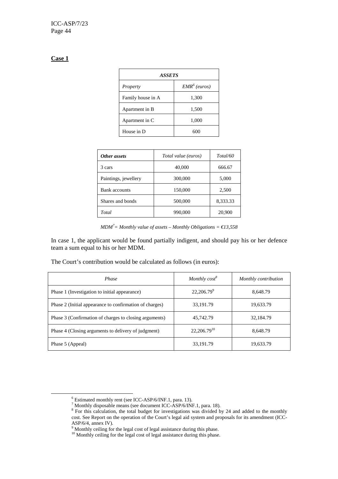#### **Case 1**

 $\overline{a}$ 

| <b>ASSETS</b>     |                          |  |
|-------------------|--------------------------|--|
| Property          | EMR <sup>6</sup> (euros) |  |
| Family house in A | 1,300                    |  |
| Apartment in B    | 1,500                    |  |
| Apartment in C    | 1,000                    |  |
| House in D        | 600                      |  |

| Other assets         | Total value (euros) | Total/60 |
|----------------------|---------------------|----------|
| 3 cars               | 40,000              | 666.67   |
| Paintings, jewellery | 300,000             | 5,000    |
| <b>Bank</b> accounts | 150,000             | 2,500    |
| Shares and bonds     | 500,000             | 8,333.33 |
| Total                | 990,000             | 20,900   |

 $MDM<sup>7</sup>$  = Monthly value of assets – Monthly Obligations =  $€13,558$ 

In case 1, the applicant would be found partially indigent, and should pay his or her defence team a sum equal to his or her MDM.

The Court's contribution would be calculated as follows (in euros):

| Phase                                                   | Monthly $cost^{\delta}$ | Monthly contribution |
|---------------------------------------------------------|-------------------------|----------------------|
| Phase 1 (Investigation to initial appearance)           | $22,206.79^9$           | 8,648.79             |
| Phase 2 (Initial appearance to confirmation of charges) | 33,191.79               | 19,633.79            |
| Phase 3 (Confirmation of charges to closing arguments)  | 45,742.79               | 32,184.79            |
| Phase 4 (Closing arguments to delivery of judgment)     | $22,206.79^{10}$        | 8,648.79             |
| Phase 5 (Appeal)                                        | 33,191.79               | 19,633.79            |

<sup>6</sup> Estimated monthly rent (see ICC-ASP/6/INF.1, para. 13).

<sup>&</sup>lt;sup>7</sup> Monthly disposable means (see document ICC-ASP/6/INF.1, para. 18).<br><sup>8</sup> For this calculation, the total budget for investigations was divided by 24 and added to the monthly cost. See Report on the operation of the Court's legal aid system and proposals for its amendment (ICC-ASP/6/4, annex IV).

<sup>&</sup>lt;sup>9</sup> Monthly ceiling for the legal cost of legal assistance during this phase.

<sup>&</sup>lt;sup>10</sup> Monthly ceiling for the legal cost of legal assistance during this phase.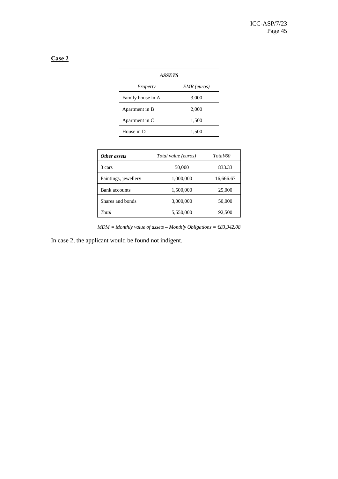## **Case 2**

| <b>ASSETS</b>     |             |  |
|-------------------|-------------|--|
| Property          | EMR (euros) |  |
| Family house in A | 3,000       |  |
| Apartment in B    | 2,000       |  |
| Apartment in C    | 1,500       |  |
| House in D        | 1,500       |  |

| Other assets         | Total value (euros) | Total/60  |
|----------------------|---------------------|-----------|
| 3 cars               | 50,000              | 833.33    |
| Paintings, jewellery | 1,000,000           | 16,666.67 |
| Bank accounts        | 1,500,000           | 25,000    |
| Shares and bonds     | 3,000,000           | 50,000    |
| Total                | 5,550,000           | 92,500    |

*MDM = Monthly value of assets – Monthly Obligations = €83,342.08* 

In case 2, the applicant would be found not indigent.